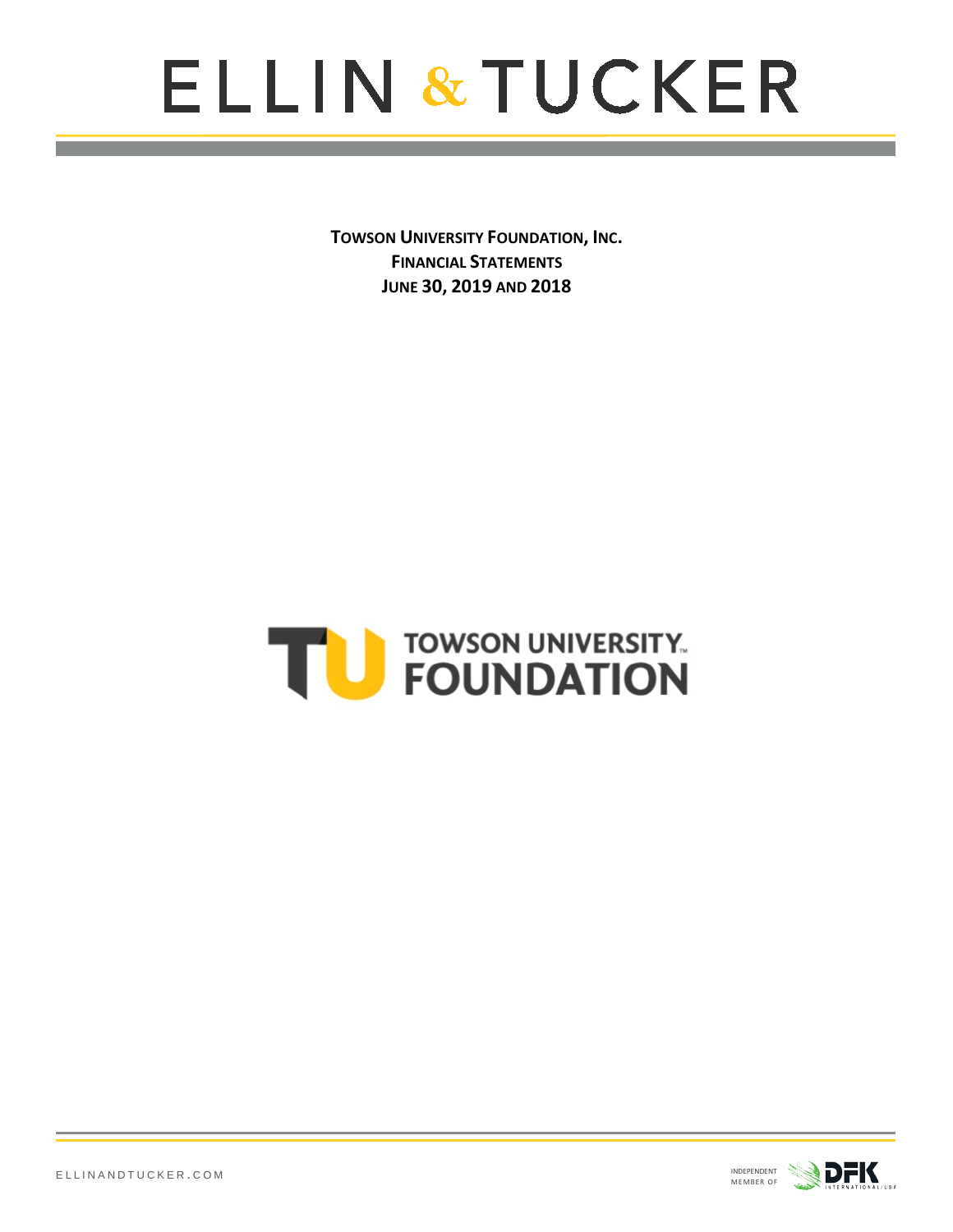

**TOWSON UNIVERSITY FOUNDATION, INC. FINANCIAL STATEMENTS JUNE 30, 2019 AND 2018**



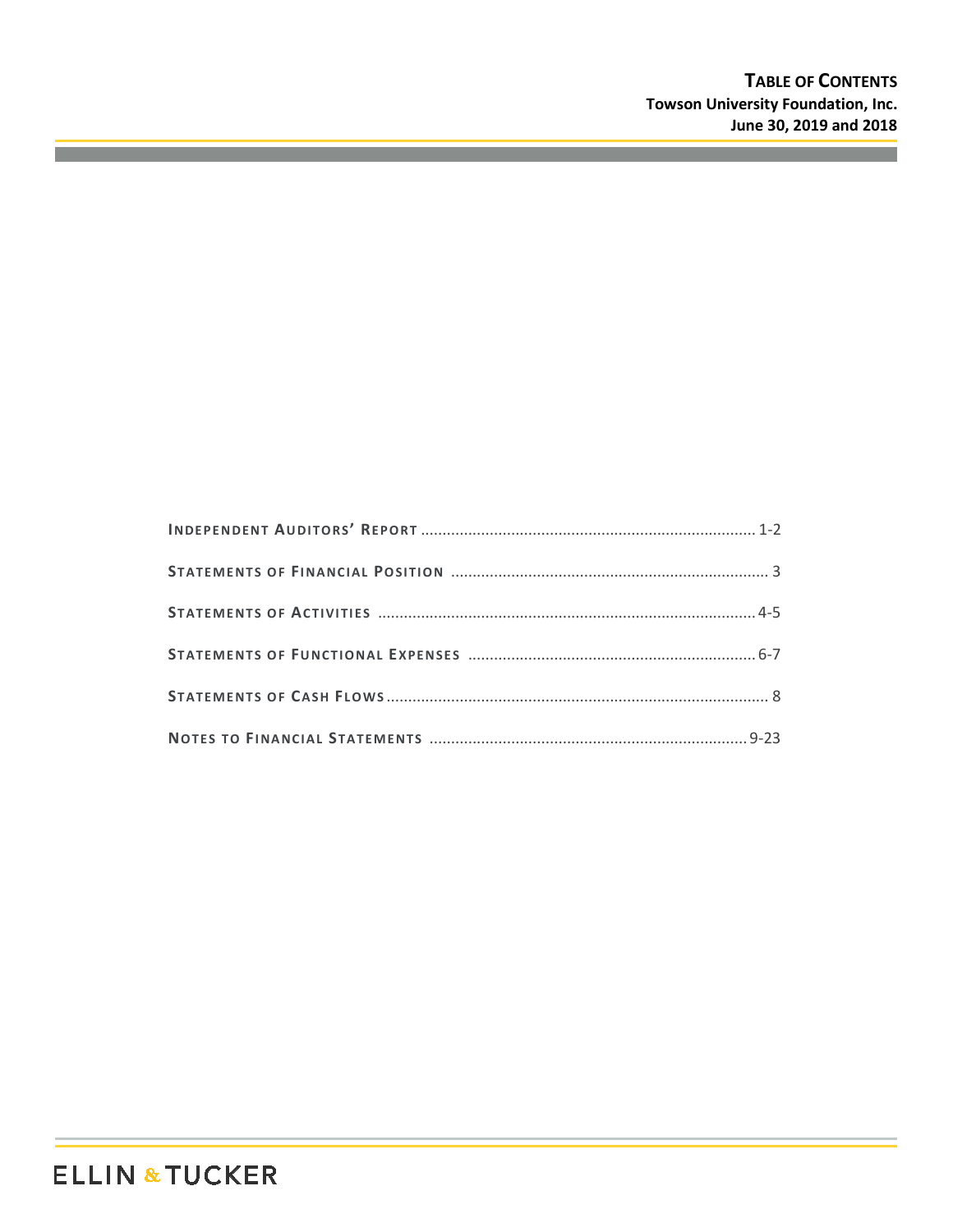m.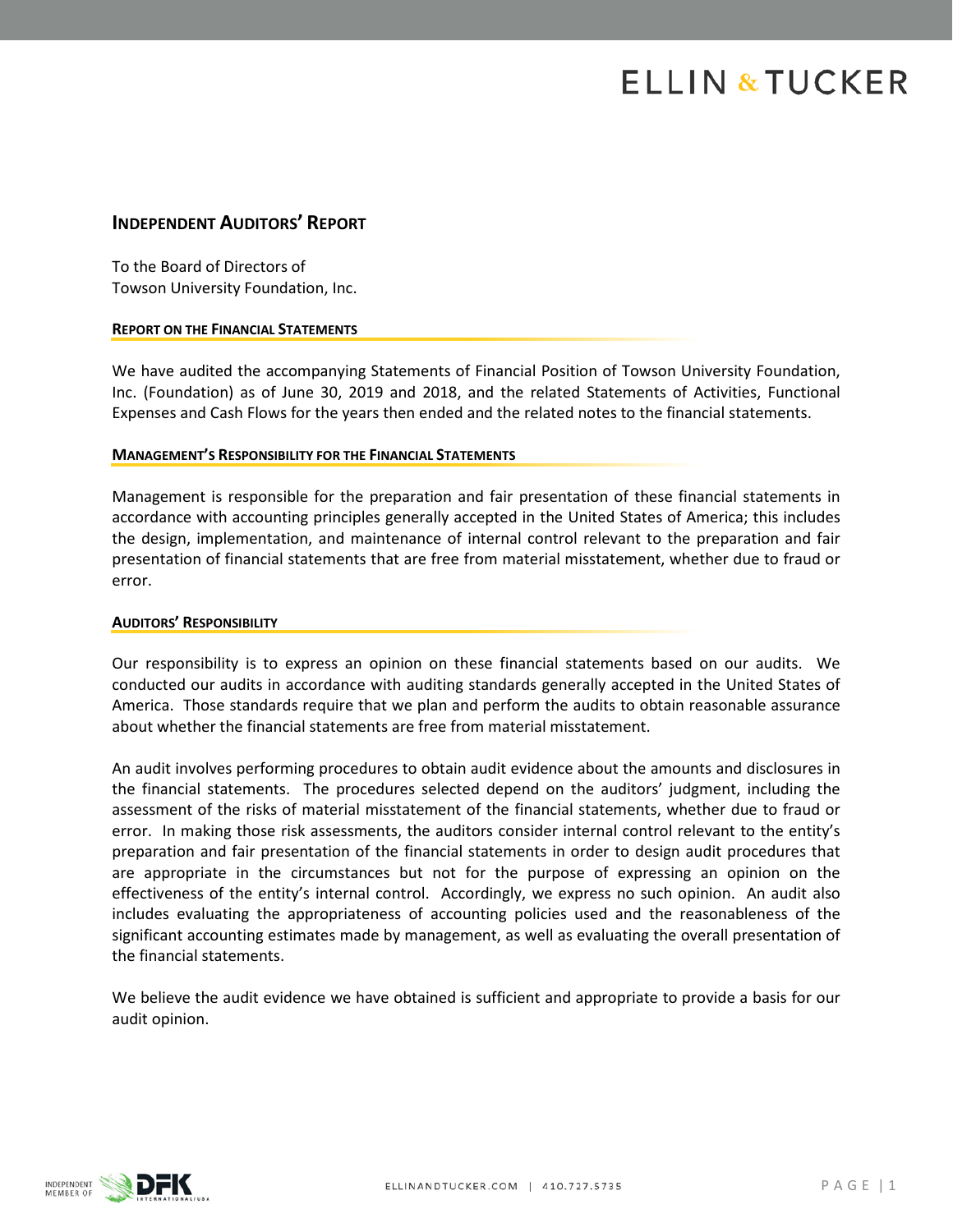# **ELLIN & TUCKER**

# **INDEPENDENT AUDITORS' REPORT**

To the Board of Directors of Towson University Foundation, Inc.

#### **REPORT ON THE FINANCIAL STATEMENTS**

We have audited the accompanying Statements of Financial Position of Towson University Foundation, Inc. (Foundation) as of June 30, 2019 and 2018, and the related Statements of Activities, Functional Expenses and Cash Flows for the years then ended and the related notes to the financial statements.

#### **MANAGEMENT'S RESPONSIBILITY FOR THE FINANCIAL STATEMENTS**

Management is responsible for the preparation and fair presentation of these financial statements in accordance with accounting principles generally accepted in the United States of America; this includes the design, implementation, and maintenance of internal control relevant to the preparation and fair presentation of financial statements that are free from material misstatement, whether due to fraud or error.

#### **AUDITORS' RESPONSIBILITY**

Our responsibility is to express an opinion on these financial statements based on our audits. We conducted our audits in accordance with auditing standards generally accepted in the United States of America. Those standards require that we plan and perform the audits to obtain reasonable assurance about whether the financial statements are free from material misstatement.

An audit involves performing procedures to obtain audit evidence about the amounts and disclosures in the financial statements. The procedures selected depend on the auditors' judgment, including the assessment of the risks of material misstatement of the financial statements, whether due to fraud or error. In making those risk assessments, the auditors consider internal control relevant to the entity's preparation and fair presentation of the financial statements in order to design audit procedures that are appropriate in the circumstances but not for the purpose of expressing an opinion on the effectiveness of the entity's internal control. Accordingly, we express no such opinion. An audit also includes evaluating the appropriateness of accounting policies used and the reasonableness of the significant accounting estimates made by management, as well as evaluating the overall presentation of the financial statements.

We believe the audit evidence we have obtained is sufficient and appropriate to provide a basis for our audit opinion.

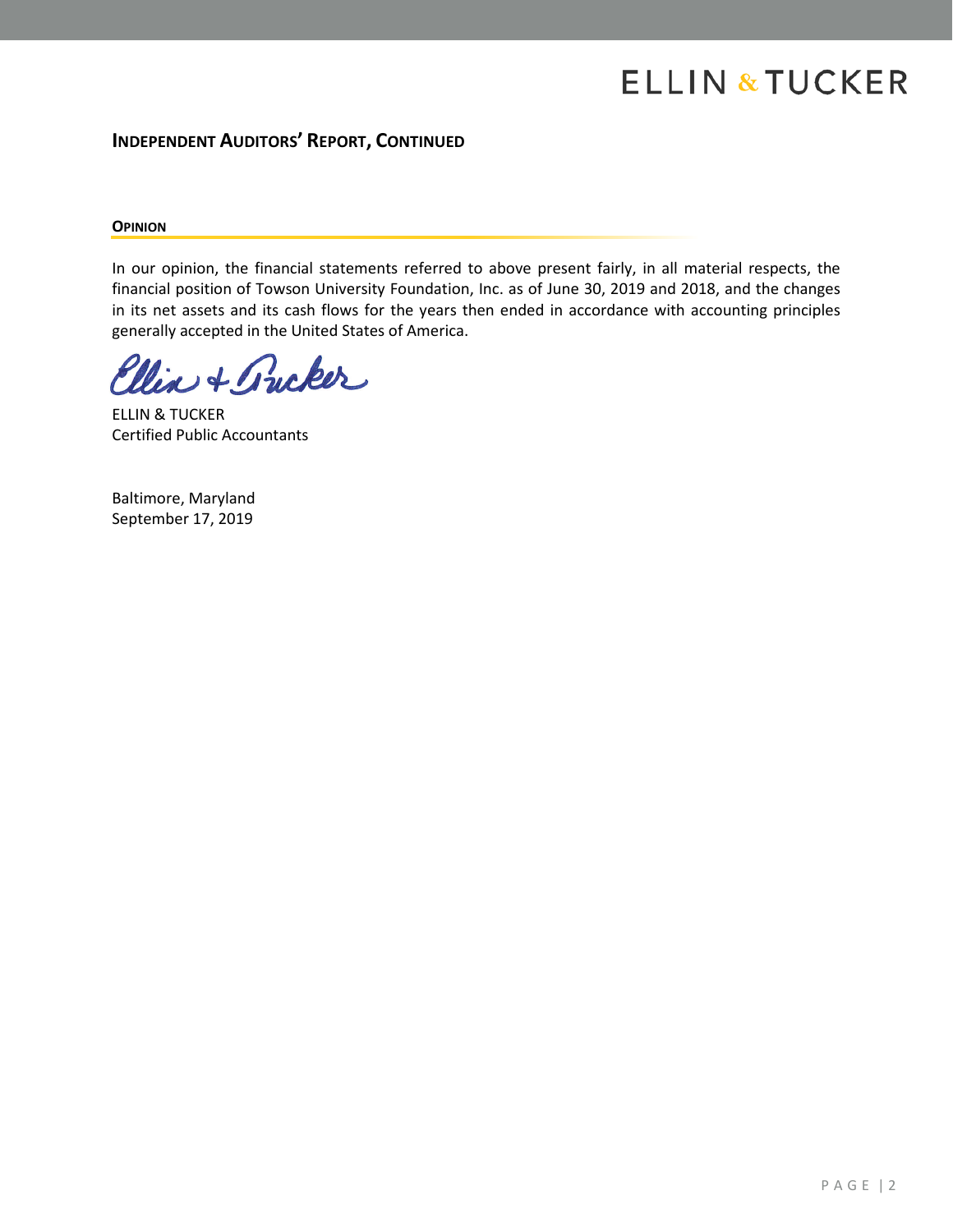# **ELLIN & TUCKER**

# **INDEPENDENT AUDITORS' REPORT, CONTINUED**

#### **OPINION**

In our opinion, the financial statements referred to above present fairly, in all material respects, the financial position of Towson University Foundation, Inc. as of June 30, 2019 and 2018, and the changes in its net assets and its cash flows for the years then ended in accordance with accounting principles generally accepted in the United States of America.

Ulia + Pucker

ELLIN & TUCKER Certified Public Accountants

Baltimore, Maryland September 17, 2019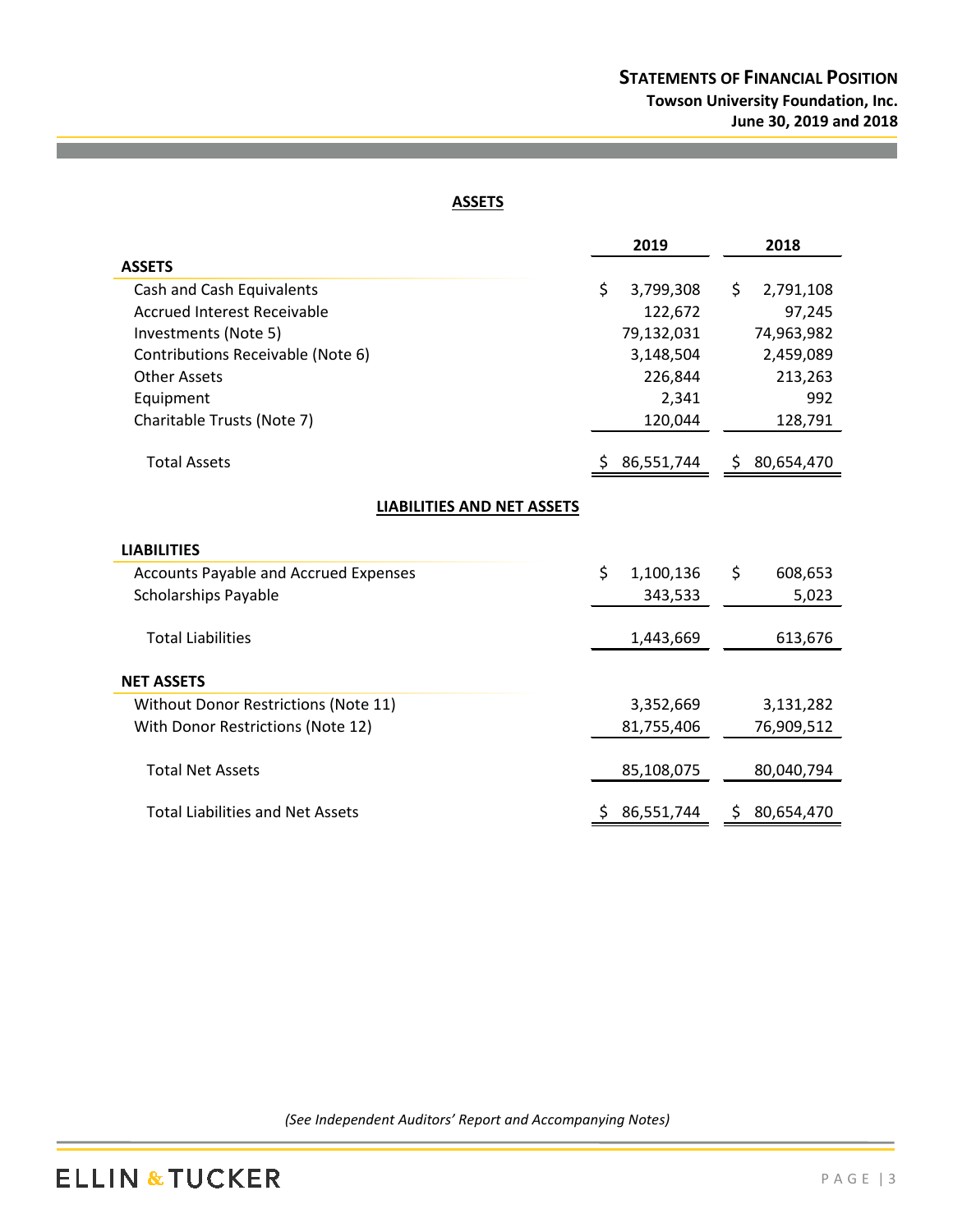# **ASSETS**

|                                              | 2019 |            |     | 2018         |
|----------------------------------------------|------|------------|-----|--------------|
| <b>ASSETS</b>                                |      |            |     |              |
| Cash and Cash Equivalents                    | \$   | 3,799,308  | \$  | 2,791,108    |
| <b>Accrued Interest Receivable</b>           |      | 122,672    |     | 97,245       |
| Investments (Note 5)                         |      | 79,132,031 |     | 74,963,982   |
| Contributions Receivable (Note 6)            |      | 3,148,504  |     | 2,459,089    |
| Other Assets                                 |      | 226,844    |     | 213,263      |
| Equipment                                    |      | 2,341      |     | 992          |
| Charitable Trusts (Note 7)                   |      | 120,044    |     | 128,791      |
|                                              |      |            |     |              |
| <b>Total Assets</b>                          | S    | 86,551,744 | \$. | 80,654,470   |
|                                              |      |            |     |              |
| <b>LIABILITIES AND NET ASSETS</b>            |      |            |     |              |
| <b>LIABILITIES</b>                           |      |            |     |              |
| <b>Accounts Payable and Accrued Expenses</b> | \$   | 1,100,136  | \$  | 608,653      |
| <b>Scholarships Payable</b>                  |      | 343,533    |     | 5,023        |
|                                              |      |            |     |              |
| <b>Total Liabilities</b>                     |      | 1,443,669  |     | 613,676      |
|                                              |      |            |     |              |
| <b>NET ASSETS</b>                            |      |            |     |              |
| <b>Without Donor Restrictions (Note 11)</b>  |      | 3,352,669  |     | 3,131,282    |
| With Donor Restrictions (Note 12)            |      | 81,755,406 |     | 76,909,512   |
| <b>Total Net Assets</b>                      |      | 85,108,075 |     | 80,040,794   |
| <b>Total Liabilities and Net Assets</b>      |      | 86,551,744 |     | \$80,654,470 |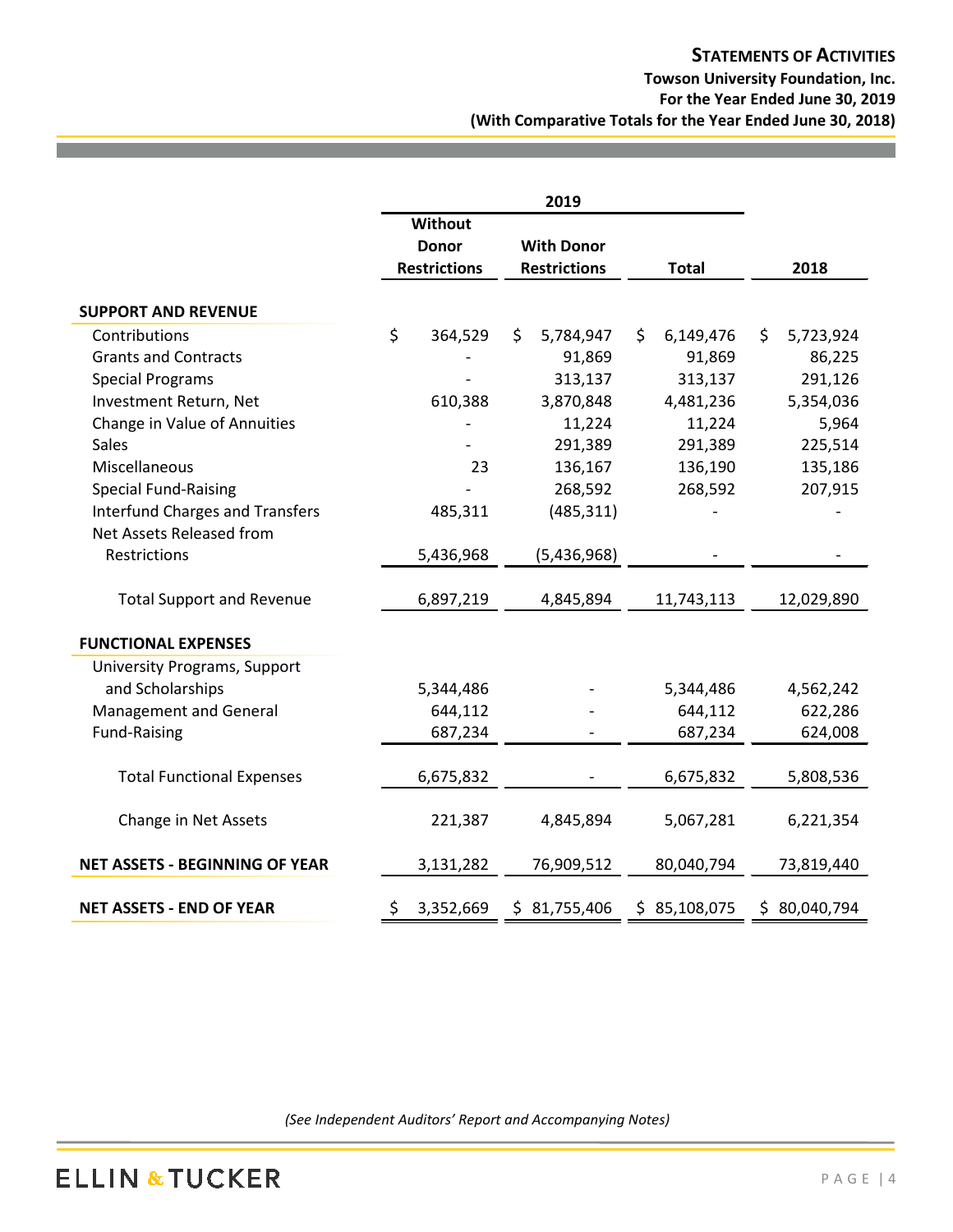|                                        | 2019                |                |    |                     |    |              |    |              |
|----------------------------------------|---------------------|----------------|----|---------------------|----|--------------|----|--------------|
|                                        |                     | <b>Without</b> |    |                     |    |              |    |              |
|                                        |                     | <b>Donor</b>   |    | <b>With Donor</b>   |    |              |    |              |
|                                        | <b>Restrictions</b> |                |    | <b>Restrictions</b> |    | <b>Total</b> |    | 2018         |
|                                        |                     |                |    |                     |    |              |    |              |
| <b>SUPPORT AND REVENUE</b>             |                     |                |    |                     |    |              |    |              |
| Contributions                          | \$                  | 364,529        | \$ | 5,784,947           | \$ | 6,149,476    | \$ | 5,723,924    |
| <b>Grants and Contracts</b>            |                     |                |    | 91,869              |    | 91,869       |    | 86,225       |
| <b>Special Programs</b>                |                     |                |    | 313,137             |    | 313,137      |    | 291,126      |
| Investment Return, Net                 |                     | 610,388        |    | 3,870,848           |    | 4,481,236    |    | 5,354,036    |
| Change in Value of Annuities           |                     |                |    | 11,224              |    | 11,224       |    | 5,964        |
| <b>Sales</b>                           |                     |                |    | 291,389             |    | 291,389      |    | 225,514      |
| Miscellaneous                          |                     | 23             |    | 136,167             |    | 136,190      |    | 135,186      |
| <b>Special Fund-Raising</b>            |                     |                |    | 268,592             |    | 268,592      |    | 207,915      |
| <b>Interfund Charges and Transfers</b> |                     | 485,311        |    | (485, 311)          |    |              |    |              |
| Net Assets Released from               |                     |                |    |                     |    |              |    |              |
| Restrictions                           |                     | 5,436,968      |    | (5,436,968)         |    |              |    |              |
| <b>Total Support and Revenue</b>       |                     | 6,897,219      |    | 4,845,894           |    | 11,743,113   |    | 12,029,890   |
| <b>FUNCTIONAL EXPENSES</b>             |                     |                |    |                     |    |              |    |              |
| University Programs, Support           |                     |                |    |                     |    |              |    |              |
| and Scholarships                       |                     | 5,344,486      |    |                     |    | 5,344,486    |    | 4,562,242    |
| Management and General                 |                     | 644,112        |    |                     |    | 644,112      |    | 622,286      |
| <b>Fund-Raising</b>                    |                     | 687,234        |    |                     |    | 687,234      |    | 624,008      |
|                                        |                     |                |    |                     |    |              |    |              |
| <b>Total Functional Expenses</b>       |                     | 6,675,832      |    |                     |    | 6,675,832    |    | 5,808,536    |
| Change in Net Assets                   |                     | 221,387        |    | 4,845,894           |    | 5,067,281    |    | 6,221,354    |
| <b>NET ASSETS - BEGINNING OF YEAR</b>  |                     | 3,131,282      |    | 76,909,512          |    | 80,040,794   |    | 73,819,440   |
| <b>NET ASSETS - END OF YEAR</b>        | \$                  | 3,352,669      |    | \$31,755,406        |    | \$85,108,075 |    | \$80,040,794 |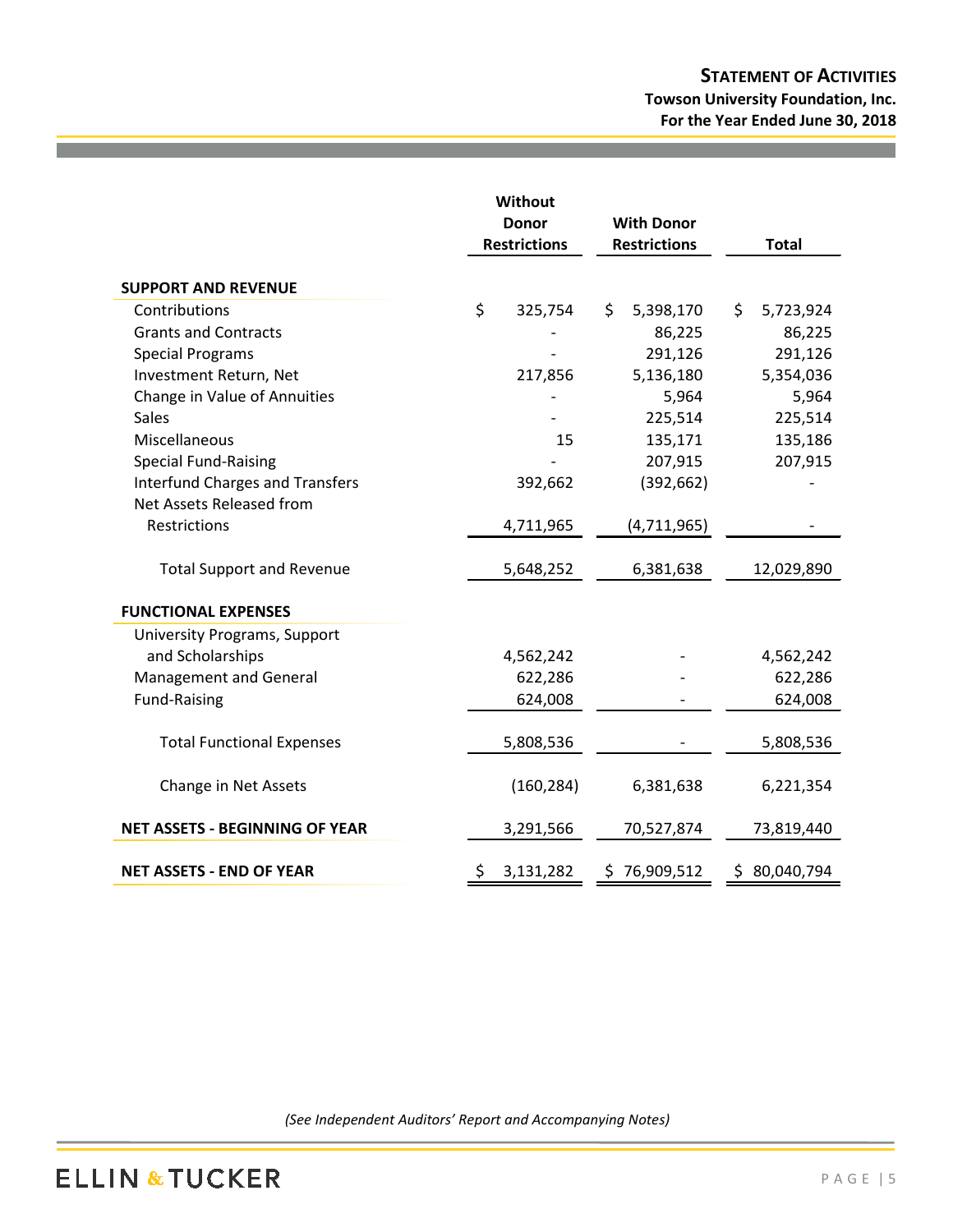an<br>Ma

|                                        | <b>Without</b>      |                     |                 |
|----------------------------------------|---------------------|---------------------|-----------------|
|                                        | <b>Donor</b>        | <b>With Donor</b>   |                 |
|                                        | <b>Restrictions</b> | <b>Restrictions</b> | <b>Total</b>    |
| <b>SUPPORT AND REVENUE</b>             |                     |                     |                 |
| Contributions                          | \$<br>325,754       | \$.<br>5,398,170    | \$<br>5,723,924 |
| <b>Grants and Contracts</b>            |                     | 86,225              | 86,225          |
| <b>Special Programs</b>                |                     | 291,126             | 291,126         |
| Investment Return, Net                 | 217,856             | 5,136,180           | 5,354,036       |
| Change in Value of Annuities           |                     | 5,964               | 5,964           |
| Sales                                  |                     | 225,514             | 225,514         |
| Miscellaneous                          | 15                  | 135,171             | 135,186         |
| <b>Special Fund-Raising</b>            |                     | 207,915             | 207,915         |
| <b>Interfund Charges and Transfers</b> | 392,662             | (392, 662)          |                 |
| Net Assets Released from               |                     |                     |                 |
| Restrictions                           | 4,711,965           | (4, 711, 965)       |                 |
| <b>Total Support and Revenue</b>       | 5,648,252           | 6,381,638           | 12,029,890      |
| <b>FUNCTIONAL EXPENSES</b>             |                     |                     |                 |
| <b>University Programs, Support</b>    |                     |                     |                 |
| and Scholarships                       | 4,562,242           |                     | 4,562,242       |
| <b>Management and General</b>          | 622,286             |                     | 622,286         |
| <b>Fund-Raising</b>                    | 624,008             |                     | 624,008         |
|                                        |                     |                     |                 |
| <b>Total Functional Expenses</b>       | 5,808,536           |                     | 5,808,536       |
| Change in Net Assets                   | (160, 284)          | 6,381,638           | 6,221,354       |
| <b>NET ASSETS - BEGINNING OF YEAR</b>  | 3,291,566           | 70,527,874          | 73,819,440      |
| <b>NET ASSETS - END OF YEAR</b>        | 3,131,282<br>\$     | \$76,909,512        | \$80,040,794    |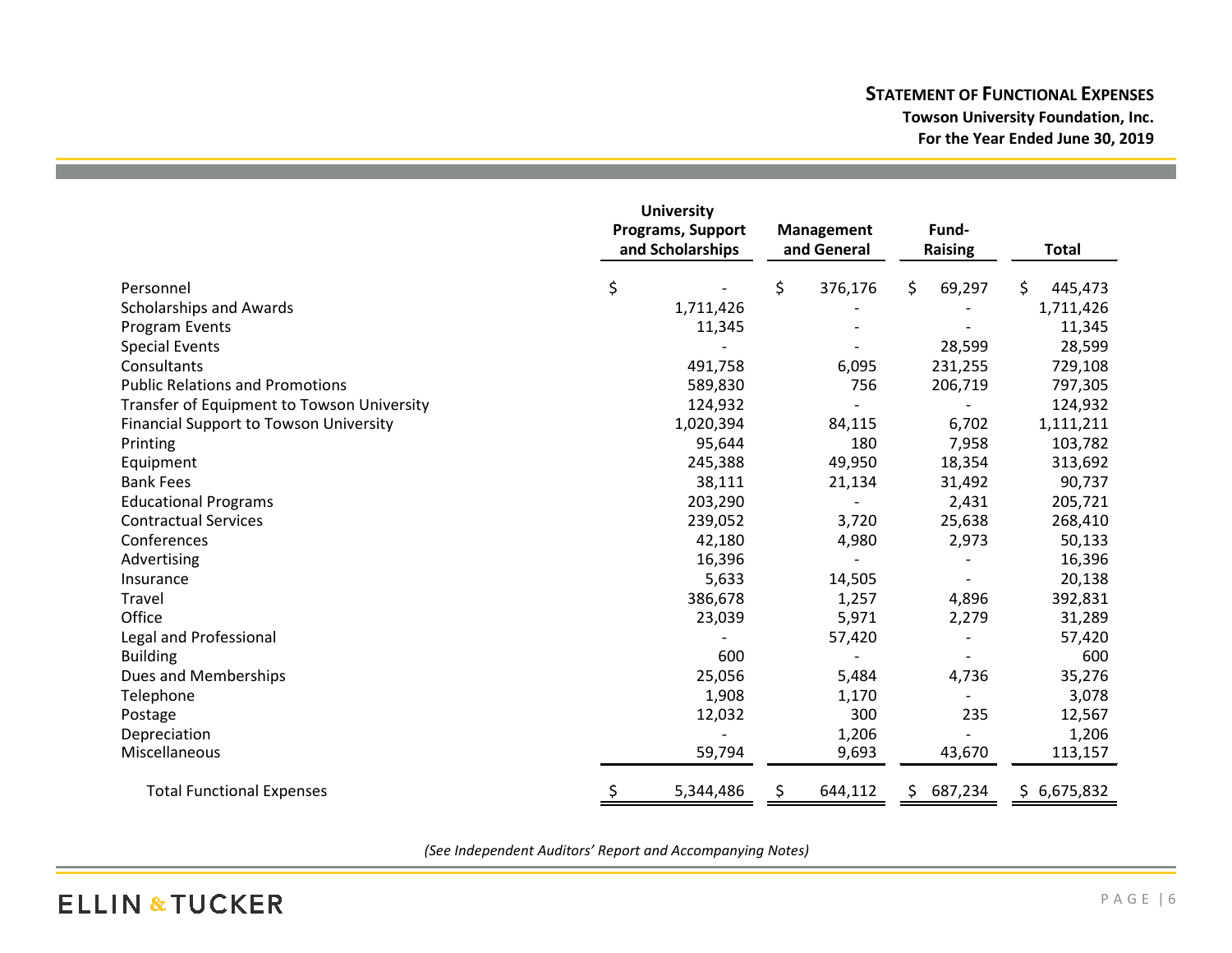# **STATEMENT OF FUNCTIONAL EXPENSES Towson University Foundation, Inc.**

**For the Year Ended June 30, 2019**

|                                               | <b>University</b><br>Programs, Support<br>and Scholarships | <b>Management</b><br>and General | Fund-<br><b>Raising</b> |    | Total       |  |
|-----------------------------------------------|------------------------------------------------------------|----------------------------------|-------------------------|----|-------------|--|
| Personnel                                     | \$                                                         | \$<br>376,176                    | 69,297<br>S.            | S. | 445,473     |  |
| <b>Scholarships and Awards</b>                | 1,711,426                                                  |                                  |                         |    | 1,711,426   |  |
| Program Events                                | 11,345                                                     |                                  |                         |    | 11,345      |  |
| <b>Special Events</b>                         |                                                            |                                  | 28,599                  |    | 28,599      |  |
| Consultants                                   | 491,758                                                    | 6,095                            | 231,255                 |    | 729,108     |  |
| <b>Public Relations and Promotions</b>        | 589,830                                                    | 756                              | 206,719                 |    | 797,305     |  |
| Transfer of Equipment to Towson University    | 124,932                                                    |                                  |                         |    | 124,932     |  |
| <b>Financial Support to Towson University</b> | 1,020,394                                                  | 84,115                           | 6,702                   |    | 1,111,211   |  |
| Printing                                      | 95,644                                                     | 180                              | 7,958                   |    | 103,782     |  |
| Equipment                                     | 245,388                                                    | 49,950                           | 18,354                  |    | 313,692     |  |
| <b>Bank Fees</b>                              | 38,111                                                     | 21,134                           | 31,492                  |    | 90,737      |  |
| <b>Educational Programs</b>                   | 203,290                                                    |                                  | 2,431                   |    | 205,721     |  |
| <b>Contractual Services</b>                   | 239,052                                                    | 3,720                            | 25,638                  |    | 268,410     |  |
| Conferences                                   | 42,180                                                     | 4,980                            | 2,973                   |    | 50,133      |  |
| Advertising                                   | 16,396                                                     |                                  |                         |    | 16,396      |  |
| Insurance                                     | 5,633                                                      | 14,505                           |                         |    | 20,138      |  |
| Travel                                        | 386,678                                                    | 1,257                            | 4,896                   |    | 392,831     |  |
| Office                                        | 23,039                                                     | 5,971                            | 2,279                   |    | 31,289      |  |
| Legal and Professional                        |                                                            | 57,420                           |                         |    | 57,420      |  |
| <b>Building</b>                               | 600                                                        |                                  |                         |    | 600         |  |
| Dues and Memberships                          | 25,056                                                     | 5,484                            | 4,736                   |    | 35,276      |  |
| Telephone                                     | 1,908                                                      | 1,170                            |                         |    | 3,078       |  |
| Postage                                       | 12,032                                                     | 300                              | 235                     |    | 12,567      |  |
| Depreciation                                  |                                                            | 1,206                            |                         |    | 1,206       |  |
| Miscellaneous                                 | 59,794                                                     | 9,693                            | 43,670                  |    | 113,157     |  |
| <b>Total Functional Expenses</b>              | 5,344,486                                                  | 644,112                          | 687,234                 |    | \$6,675,832 |  |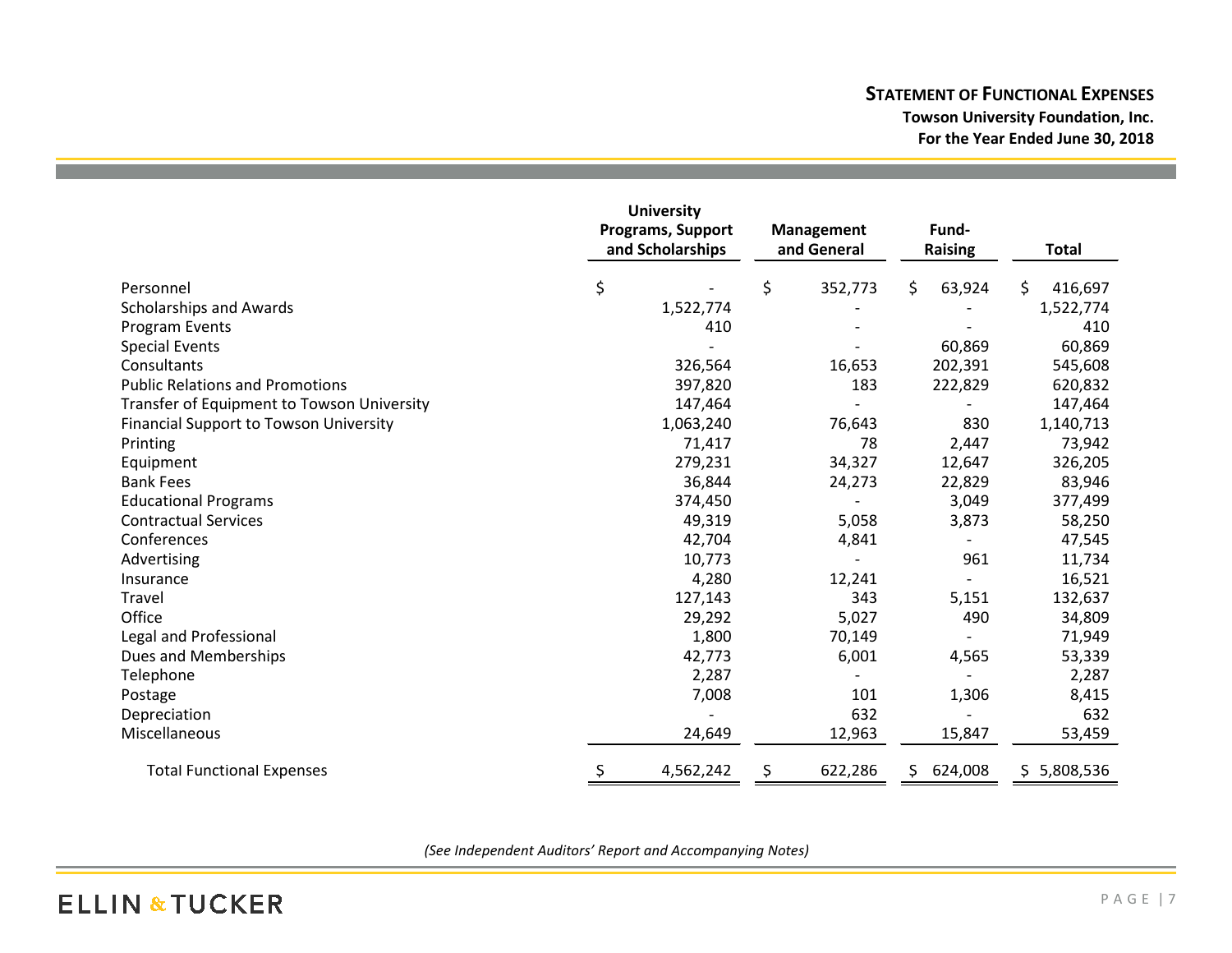# **STATEMENT OF FUNCTIONAL EXPENSES Towson University Foundation, Inc.**

**For the Year Ended June 30, 2018**

|                                               | <b>University</b><br><b>Programs, Support</b><br>and Scholarships | <b>Management</b><br>and General | Fund-<br><b>Raising</b> | <b>Total</b>  |  |
|-----------------------------------------------|-------------------------------------------------------------------|----------------------------------|-------------------------|---------------|--|
| Personnel                                     | \$                                                                | \$<br>352,773                    | \$.<br>63,924           | S.<br>416,697 |  |
| <b>Scholarships and Awards</b>                | 1,522,774                                                         |                                  |                         | 1,522,774     |  |
| Program Events                                | 410                                                               |                                  |                         | 410           |  |
| <b>Special Events</b>                         |                                                                   |                                  | 60,869                  | 60,869        |  |
| Consultants                                   | 326,564                                                           | 16,653                           | 202,391                 | 545,608       |  |
| <b>Public Relations and Promotions</b>        | 397,820                                                           | 183                              | 222,829                 | 620,832       |  |
| Transfer of Equipment to Towson University    | 147,464                                                           |                                  |                         | 147,464       |  |
| <b>Financial Support to Towson University</b> | 1,063,240                                                         | 76,643                           | 830                     | 1,140,713     |  |
| Printing                                      | 71,417                                                            | 78                               | 2,447                   | 73,942        |  |
| Equipment                                     | 279,231                                                           | 34,327                           | 12,647                  | 326,205       |  |
| <b>Bank Fees</b>                              | 36,844                                                            | 24,273                           | 22,829                  | 83,946        |  |
| <b>Educational Programs</b>                   | 374,450                                                           |                                  | 3,049                   | 377,499       |  |
| <b>Contractual Services</b>                   | 49,319                                                            | 5,058                            | 3,873                   | 58,250        |  |
| Conferences                                   | 42,704                                                            | 4,841                            |                         | 47,545        |  |
| Advertising                                   | 10,773                                                            |                                  | 961                     | 11,734        |  |
| Insurance                                     | 4,280                                                             | 12,241                           |                         | 16,521        |  |
| Travel                                        | 127,143                                                           | 343                              | 5,151                   | 132,637       |  |
| Office                                        | 29,292                                                            | 5,027                            | 490                     | 34,809        |  |
| Legal and Professional                        | 1,800                                                             | 70,149                           |                         | 71,949        |  |
| Dues and Memberships                          | 42,773                                                            | 6,001                            | 4,565                   | 53,339        |  |
| Telephone                                     | 2,287                                                             |                                  |                         | 2,287         |  |
| Postage                                       | 7,008                                                             | 101                              | 1,306                   | 8,415         |  |
| Depreciation                                  |                                                                   | 632                              |                         | 632           |  |
| Miscellaneous                                 | 24,649                                                            | 12,963                           | 15,847                  | 53,459        |  |
| <b>Total Functional Expenses</b>              | 4,562,242<br>\$                                                   | \$<br>622,286                    | 624,008<br>\$.          | \$5,808,536   |  |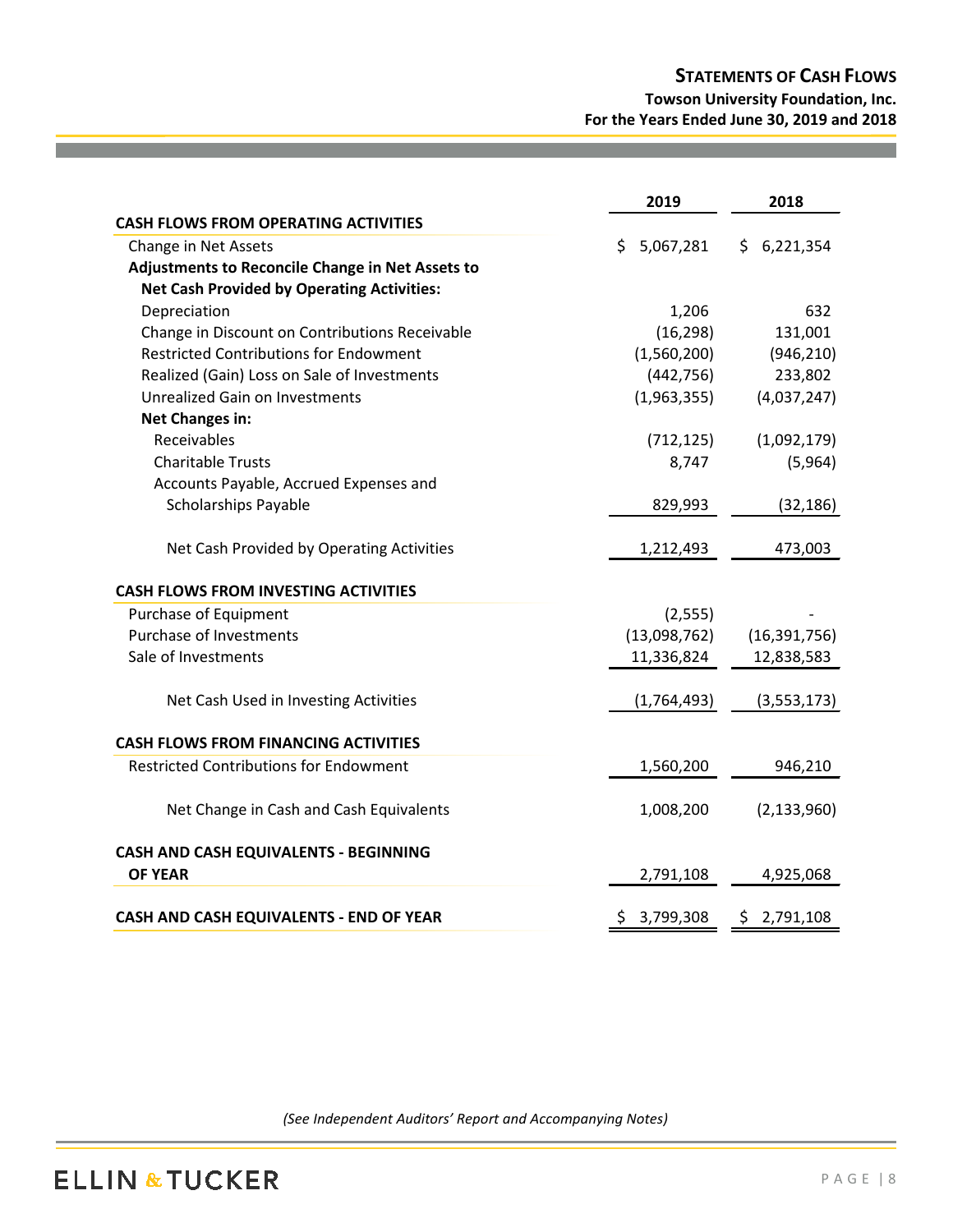|                                                   | 2019             | 2018            |
|---------------------------------------------------|------------------|-----------------|
| <b>CASH FLOWS FROM OPERATING ACTIVITIES</b>       |                  |                 |
| Change in Net Assets                              | 5,067,281<br>\$. | \$6,221,354     |
| Adjustments to Reconcile Change in Net Assets to  |                  |                 |
| <b>Net Cash Provided by Operating Activities:</b> |                  |                 |
| Depreciation                                      | 1,206            | 632             |
| Change in Discount on Contributions Receivable    | (16, 298)        | 131,001         |
| <b>Restricted Contributions for Endowment</b>     | (1,560,200)      | (946, 210)      |
| Realized (Gain) Loss on Sale of Investments       | (442, 756)       | 233,802         |
| Unrealized Gain on Investments                    | (1,963,355)      | (4,037,247)     |
| <b>Net Changes in:</b>                            |                  |                 |
| Receivables                                       | (712, 125)       | (1,092,179)     |
| <b>Charitable Trusts</b>                          | 8,747            | (5,964)         |
| Accounts Payable, Accrued Expenses and            |                  |                 |
| Scholarships Payable                              | 829,993          | (32, 186)       |
| Net Cash Provided by Operating Activities         | 1,212,493        | 473,003         |
| <b>CASH FLOWS FROM INVESTING ACTIVITIES</b>       |                  |                 |
| Purchase of Equipment                             | (2, 555)         |                 |
| Purchase of Investments                           | (13,098,762)     | (16, 391, 756)  |
| Sale of Investments                               | 11,336,824       | 12,838,583      |
| Net Cash Used in Investing Activities             | (1,764,493)      | (3,553,173)     |
| <b>CASH FLOWS FROM FINANCING ACTIVITIES</b>       |                  |                 |
| <b>Restricted Contributions for Endowment</b>     | 1,560,200        | 946,210         |
| Net Change in Cash and Cash Equivalents           | 1,008,200        | (2, 133, 960)   |
| CASH AND CASH EQUIVALENTS - BEGINNING             |                  |                 |
| <b>OF YEAR</b>                                    | 2,791,108        | 4,925,068       |
| CASH AND CASH EQUIVALENTS - END OF YEAR           | \$<br>3,799,308  | \$<br>2,791,108 |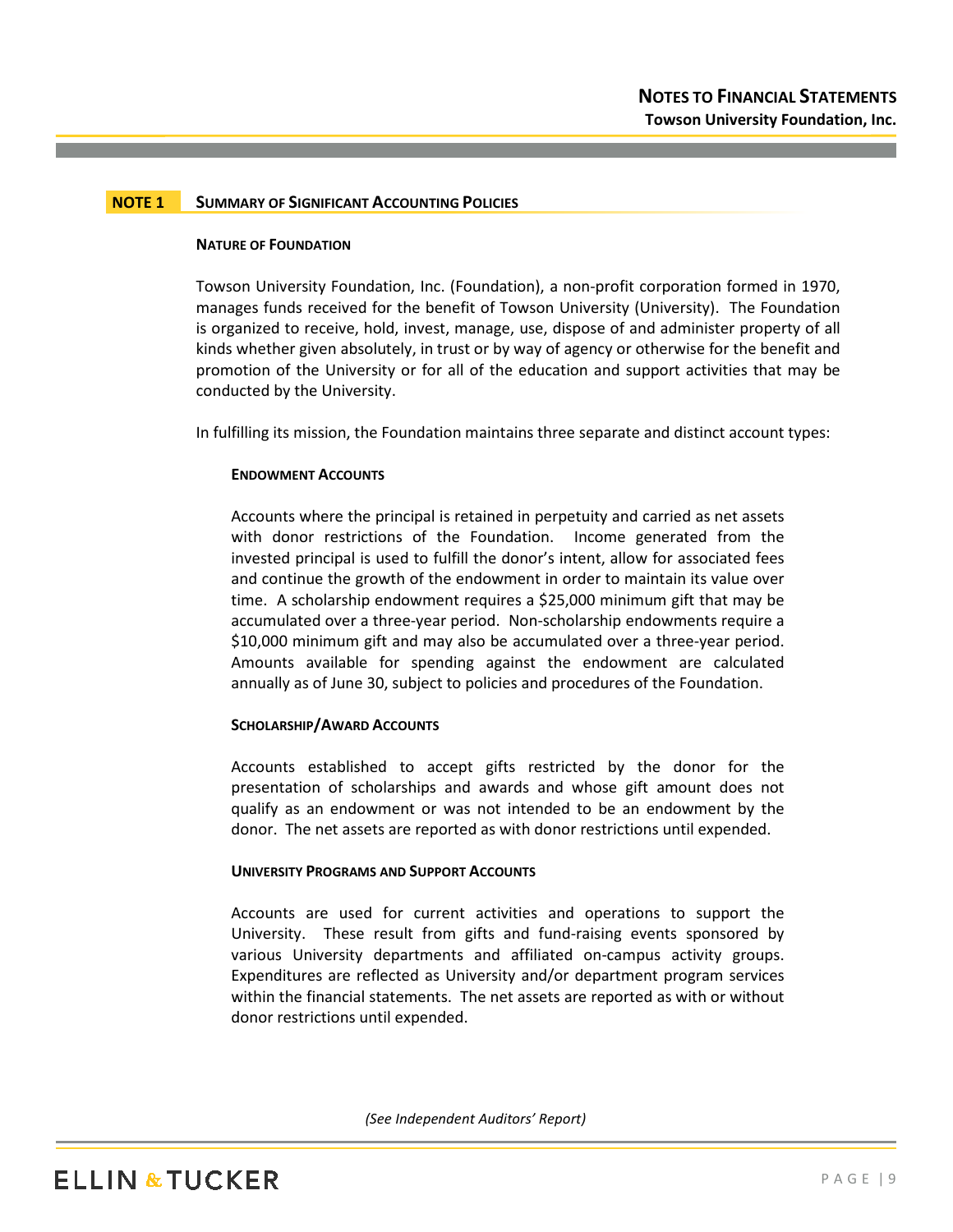#### **NOTE 1 SUMMARY OF SIGNIFICANT ACCOUNTING POLICIES**

#### **NATURE OF FOUNDATION**

Towson University Foundation, Inc. (Foundation), a non-profit corporation formed in 1970, manages funds received for the benefit of Towson University (University). The Foundation is organized to receive, hold, invest, manage, use, dispose of and administer property of all kinds whether given absolutely, in trust or by way of agency or otherwise for the benefit and promotion of the University or for all of the education and support activities that may be conducted by the University.

In fulfilling its mission, the Foundation maintains three separate and distinct account types:

#### **ENDOWMENT ACCOUNTS**

Accounts where the principal is retained in perpetuity and carried as net assets with donor restrictions of the Foundation. Income generated from the invested principal is used to fulfill the donor's intent, allow for associated fees and continue the growth of the endowment in order to maintain its value over time. A scholarship endowment requires a \$25,000 minimum gift that may be accumulated over a three-year period. Non-scholarship endowments require a \$10,000 minimum gift and may also be accumulated over a three-year period. Amounts available for spending against the endowment are calculated annually as of June 30, subject to policies and procedures of the Foundation.

#### **SCHOLARSHIP/AWARD ACCOUNTS**

Accounts established to accept gifts restricted by the donor for the presentation of scholarships and awards and whose gift amount does not qualify as an endowment or was not intended to be an endowment by the donor. The net assets are reported as with donor restrictions until expended.

#### **UNIVERSITY PROGRAMS AND SUPPORT ACCOUNTS**

Accounts are used for current activities and operations to support the University. These result from gifts and fund-raising events sponsored by various University departments and affiliated on-campus activity groups. Expenditures are reflected as University and/or department program services within the financial statements. The net assets are reported as with or without donor restrictions until expended.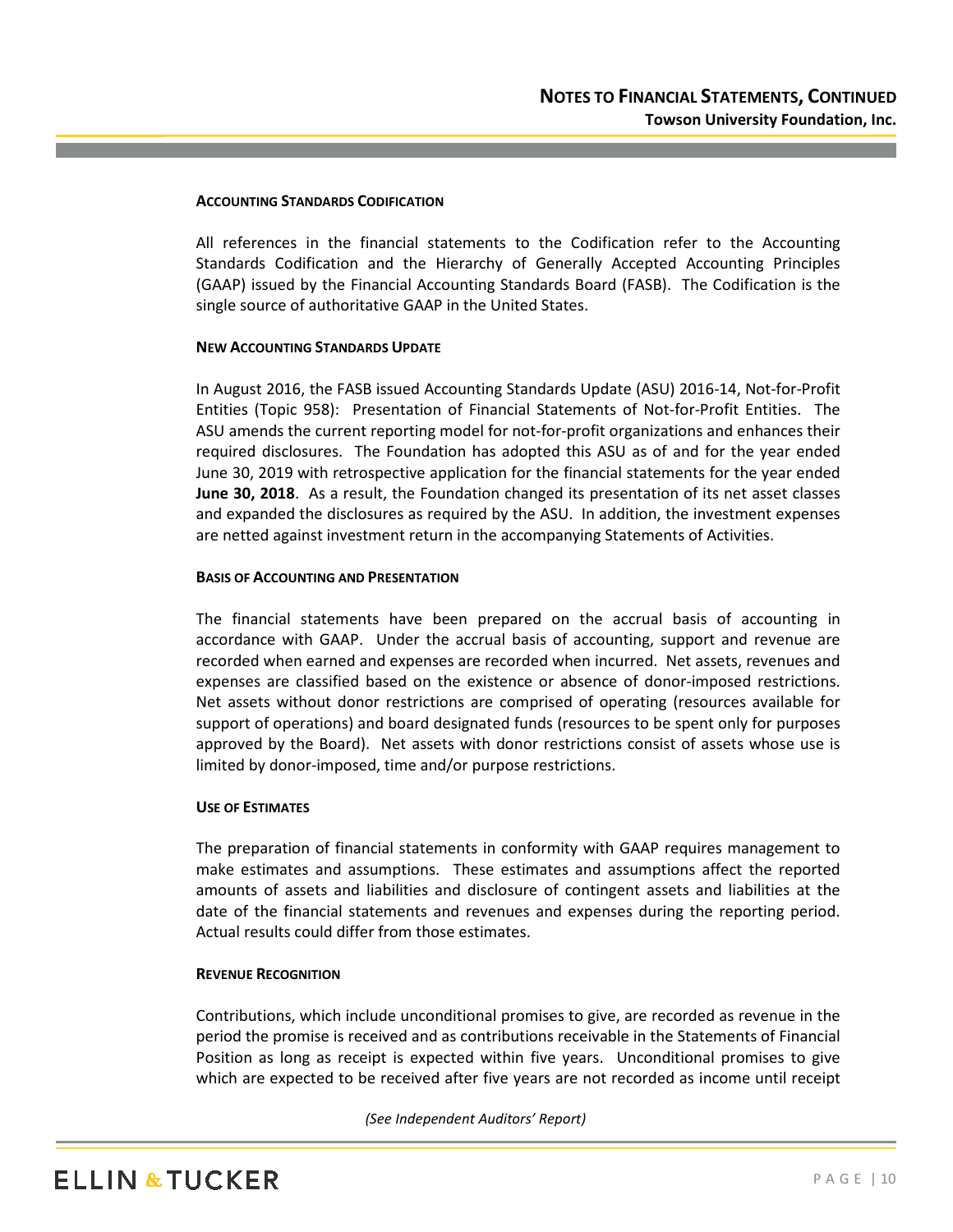## **ACCOUNTING STANDARDS CODIFICATION**

All references in the financial statements to the Codification refer to the Accounting Standards Codification and the Hierarchy of Generally Accepted Accounting Principles (GAAP) issued by the Financial Accounting Standards Board (FASB). The Codification is the single source of authoritative GAAP in the United States.

## **NEW ACCOUNTING STANDARDS UPDATE**

In August 2016, the FASB issued Accounting Standards Update (ASU) 2016-14, Not-for-Profit Entities (Topic 958): Presentation of Financial Statements of Not-for-Profit Entities. The ASU amends the current reporting model for not-for-profit organizations and enhances their required disclosures. The Foundation has adopted this ASU as of and for the year ended June 30, 2019 with retrospective application for the financial statements for the year ended **June 30, 2018**. As a result, the Foundation changed its presentation of its net asset classes and expanded the disclosures as required by the ASU. In addition, the investment expenses are netted against investment return in the accompanying Statements of Activities.

# **BASIS OF ACCOUNTING AND PRESENTATION**

The financial statements have been prepared on the accrual basis of accounting in accordance with GAAP. Under the accrual basis of accounting, support and revenue are recorded when earned and expenses are recorded when incurred. Net assets, revenues and expenses are classified based on the existence or absence of donor-imposed restrictions. Net assets without donor restrictions are comprised of operating (resources available for support of operations) and board designated funds (resources to be spent only for purposes approved by the Board). Net assets with donor restrictions consist of assets whose use is limited by donor-imposed, time and/or purpose restrictions.

## **USE OF ESTIMATES**

The preparation of financial statements in conformity with GAAP requires management to make estimates and assumptions. These estimates and assumptions affect the reported amounts of assets and liabilities and disclosure of contingent assets and liabilities at the date of the financial statements and revenues and expenses during the reporting period. Actual results could differ from those estimates.

# **REVENUE RECOGNITION**

Contributions, which include unconditional promises to give, are recorded as revenue in the period the promise is received and as contributions receivable in the Statements of Financial Position as long as receipt is expected within five years. Unconditional promises to give which are expected to be received after five years are not recorded as income until receipt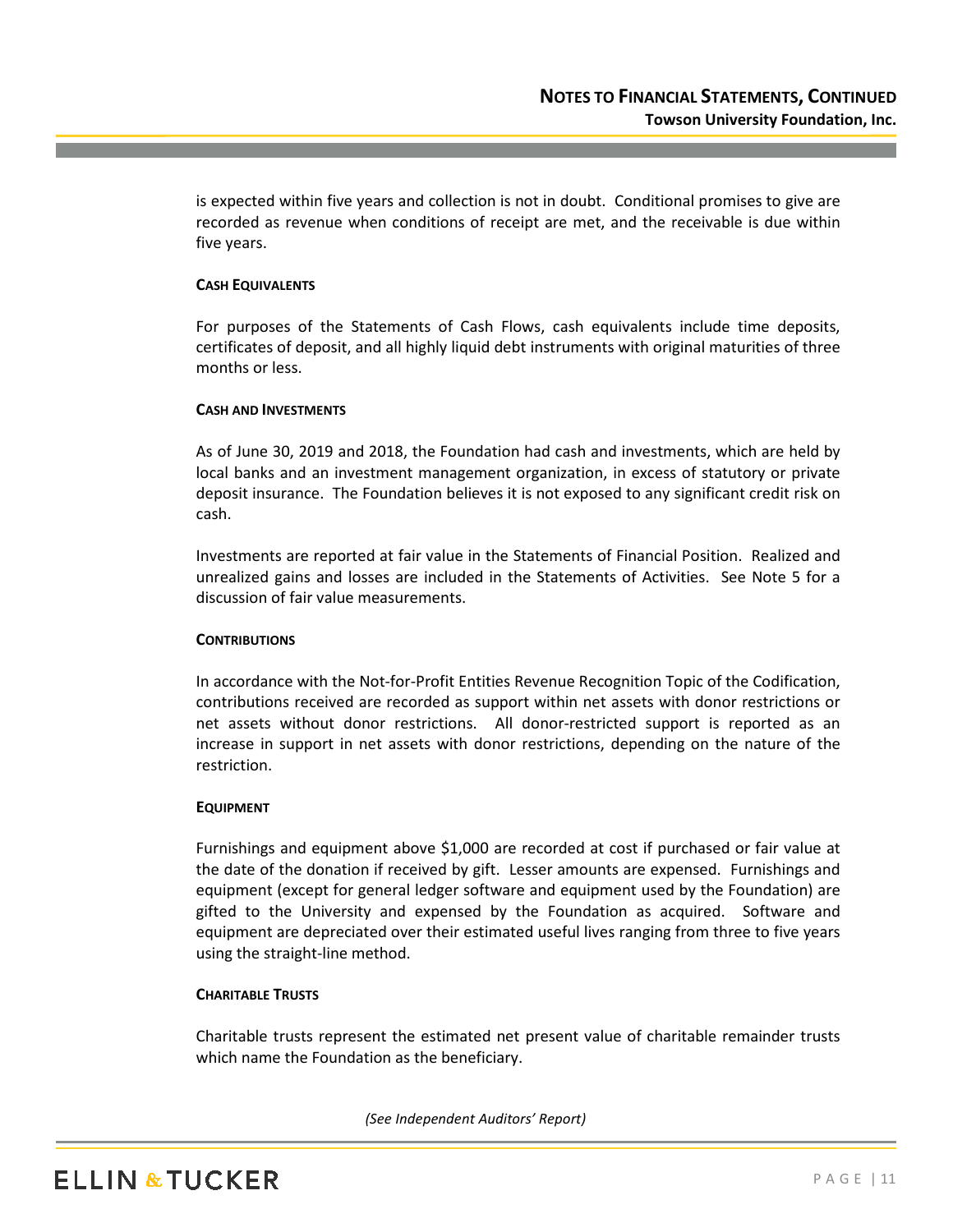is expected within five years and collection is not in doubt. Conditional promises to give are recorded as revenue when conditions of receipt are met, and the receivable is due within five years.

## **CASH EQUIVALENTS**

For purposes of the Statements of Cash Flows, cash equivalents include time deposits, certificates of deposit, and all highly liquid debt instruments with original maturities of three months or less.

# **CASH AND INVESTMENTS**

As of June 30, 2019 and 2018, the Foundation had cash and investments, which are held by local banks and an investment management organization, in excess of statutory or private deposit insurance. The Foundation believes it is not exposed to any significant credit risk on cash.

Investments are reported at fair value in the Statements of Financial Position. Realized and unrealized gains and losses are included in the Statements of Activities. See Note 5 for a discussion of fair value measurements.

# **CONTRIBUTIONS**

In accordance with the Not-for-Profit Entities Revenue Recognition Topic of the Codification, contributions received are recorded as support within net assets with donor restrictions or net assets without donor restrictions. All donor-restricted support is reported as an increase in support in net assets with donor restrictions, depending on the nature of the restriction.

## **EQUIPMENT**

Furnishings and equipment above \$1,000 are recorded at cost if purchased or fair value at the date of the donation if received by gift. Lesser amounts are expensed. Furnishings and equipment (except for general ledger software and equipment used by the Foundation) are gifted to the University and expensed by the Foundation as acquired. Software and equipment are depreciated over their estimated useful lives ranging from three to five years using the straight-line method.

# **CHARITABLE TRUSTS**

Charitable trusts represent the estimated net present value of charitable remainder trusts which name the Foundation as the beneficiary.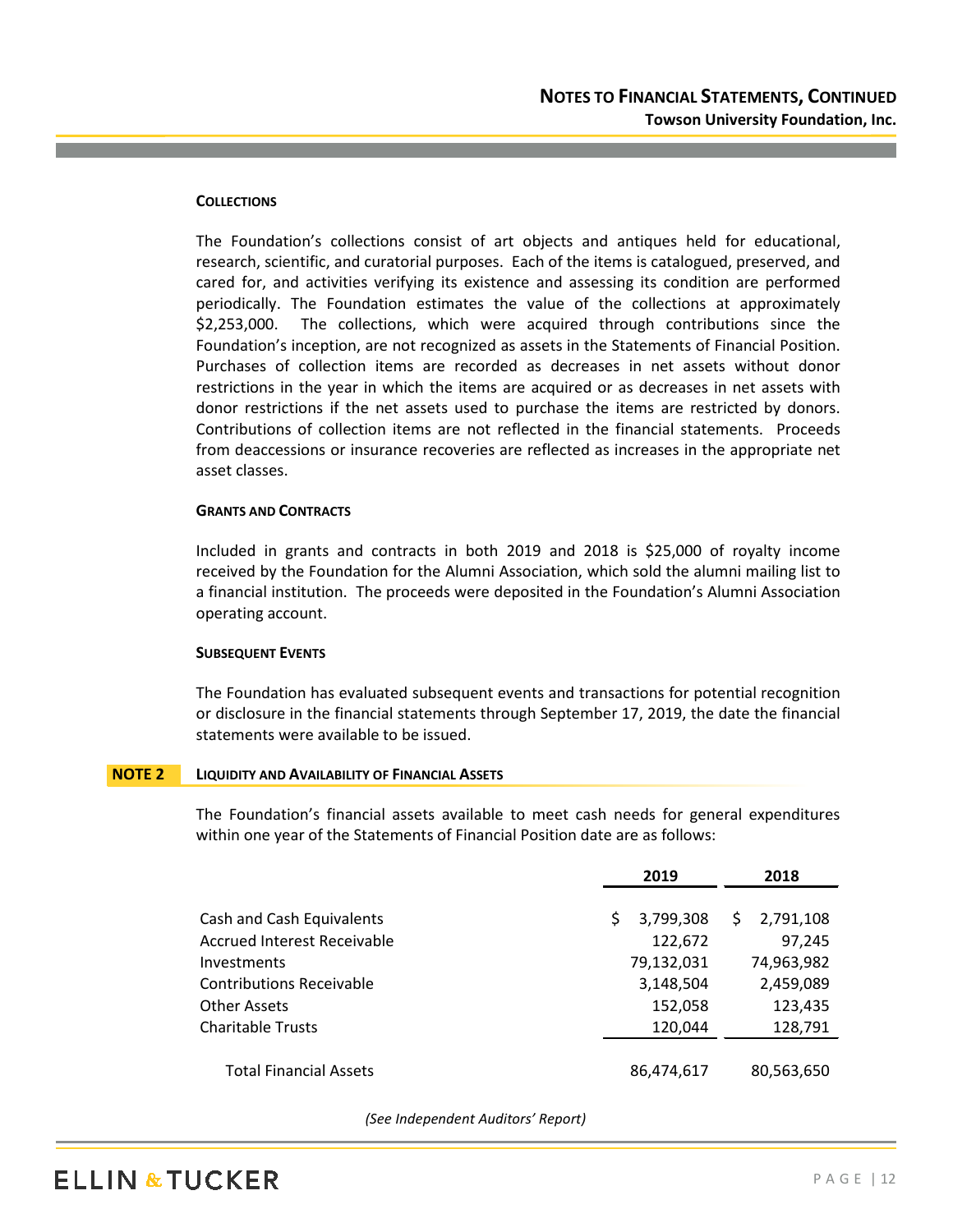## **COLLECTIONS**

The Foundation's collections consist of art objects and antiques held for educational, research, scientific, and curatorial purposes. Each of the items is catalogued, preserved, and cared for, and activities verifying its existence and assessing its condition are performed periodically. The Foundation estimates the value of the collections at approximately \$2,253,000. The collections, which were acquired through contributions since the Foundation's inception, are not recognized as assets in the Statements of Financial Position. Purchases of collection items are recorded as decreases in net assets without donor restrictions in the year in which the items are acquired or as decreases in net assets with donor restrictions if the net assets used to purchase the items are restricted by donors. Contributions of collection items are not reflected in the financial statements. Proceeds from deaccessions or insurance recoveries are reflected as increases in the appropriate net asset classes.

## **GRANTS AND CONTRACTS**

Included in grants and contracts in both 2019 and 2018 is \$25,000 of royalty income received by the Foundation for the Alumni Association, which sold the alumni mailing list to a financial institution. The proceeds were deposited in the Foundation's Alumni Association operating account.

## **SUBSEQUENT EVENTS**

The Foundation has evaluated subsequent events and transactions for potential recognition or disclosure in the financial statements through September 17, 2019, the date the financial statements were available to be issued.

## **NOTE 2 LIQUIDITY AND AVAILABILITY OF FINANCIAL ASSETS**

The Foundation's financial assets available to meet cash needs for general expenditures within one year of the Statements of Financial Position date are as follows:

|                               | 2019            |    | 2018       |
|-------------------------------|-----------------|----|------------|
|                               |                 |    |            |
| Cash and Cash Equivalents     | \$<br>3,799,308 | S. | 2,791,108  |
| Accrued Interest Receivable   | 122,672         |    | 97,245     |
| Investments                   | 79,132,031      |    | 74,963,982 |
| Contributions Receivable      | 3,148,504       |    | 2,459,089  |
| Other Assets                  | 152,058         |    | 123,435    |
| Charitable Trusts             | 120,044         |    | 128,791    |
|                               |                 |    |            |
| <b>Total Financial Assets</b> | 86,474,617      |    | 80,563,650 |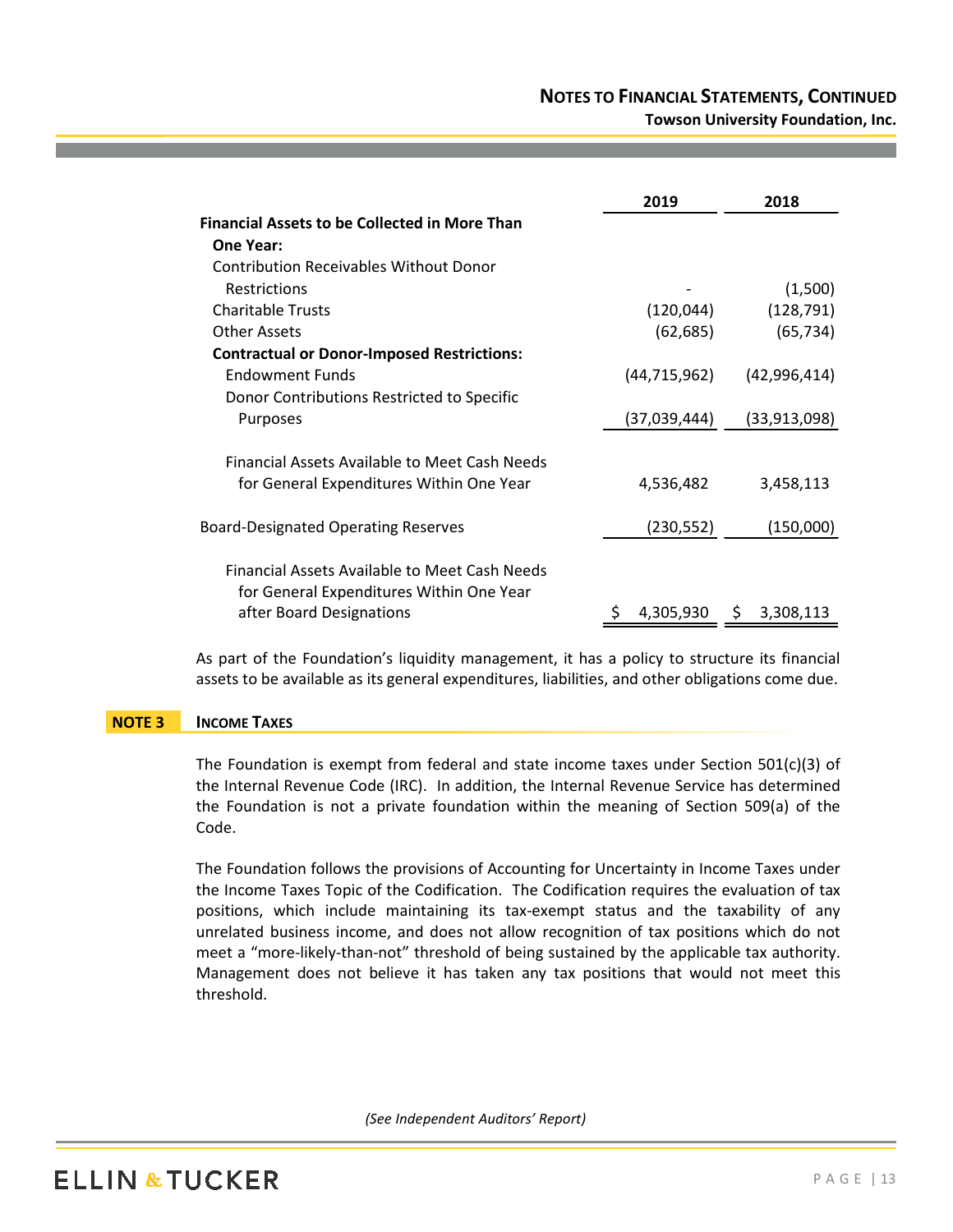# **NOTES TO FINANCIAL STATEMENTS, CONTINUED Towson University Foundation, Inc.**

|                                                      | 2019           | 2018           |
|------------------------------------------------------|----------------|----------------|
| <b>Financial Assets to be Collected in More Than</b> |                |                |
| One Year:                                            |                |                |
| <b>Contribution Receivables Without Donor</b>        |                |                |
| <b>Restrictions</b>                                  |                | (1,500)        |
| <b>Charitable Trusts</b>                             | (120, 044)     | (128, 791)     |
| <b>Other Assets</b>                                  | (62, 685)      | (65, 734)      |
| <b>Contractual or Donor-Imposed Restrictions:</b>    |                |                |
| <b>Endowment Funds</b>                               | (44, 715, 962) | (42,996,414)   |
| Donor Contributions Restricted to Specific           |                |                |
| Purposes                                             | (37,039,444)   | (33,913,098)   |
|                                                      |                |                |
| Financial Assets Available to Meet Cash Needs        |                |                |
| for General Expenditures Within One Year             | 4,536,482      | 3,458,113      |
|                                                      |                |                |
| <b>Board-Designated Operating Reserves</b>           | (230, 552)     | (150,000)      |
|                                                      |                |                |
| Financial Assets Available to Meet Cash Needs        |                |                |
| for General Expenditures Within One Year             |                |                |
| after Board Designations                             | 4,305,930      | 3,308,113<br>S |

As part of the Foundation's liquidity management, it has a policy to structure its financial assets to be available as its general expenditures, liabilities, and other obligations come due.

# **NOTE 3 INCOME TAXES**

The Foundation is exempt from federal and state income taxes under Section 501(c)(3) of the Internal Revenue Code (IRC). In addition, the Internal Revenue Service has determined the Foundation is not a private foundation within the meaning of Section 509(a) of the Code.

The Foundation follows the provisions of Accounting for Uncertainty in Income Taxes under the Income Taxes Topic of the Codification. The Codification requires the evaluation of tax positions, which include maintaining its tax-exempt status and the taxability of any unrelated business income, and does not allow recognition of tax positions which do not meet a "more-likely-than-not" threshold of being sustained by the applicable tax authority. Management does not believe it has taken any tax positions that would not meet this threshold.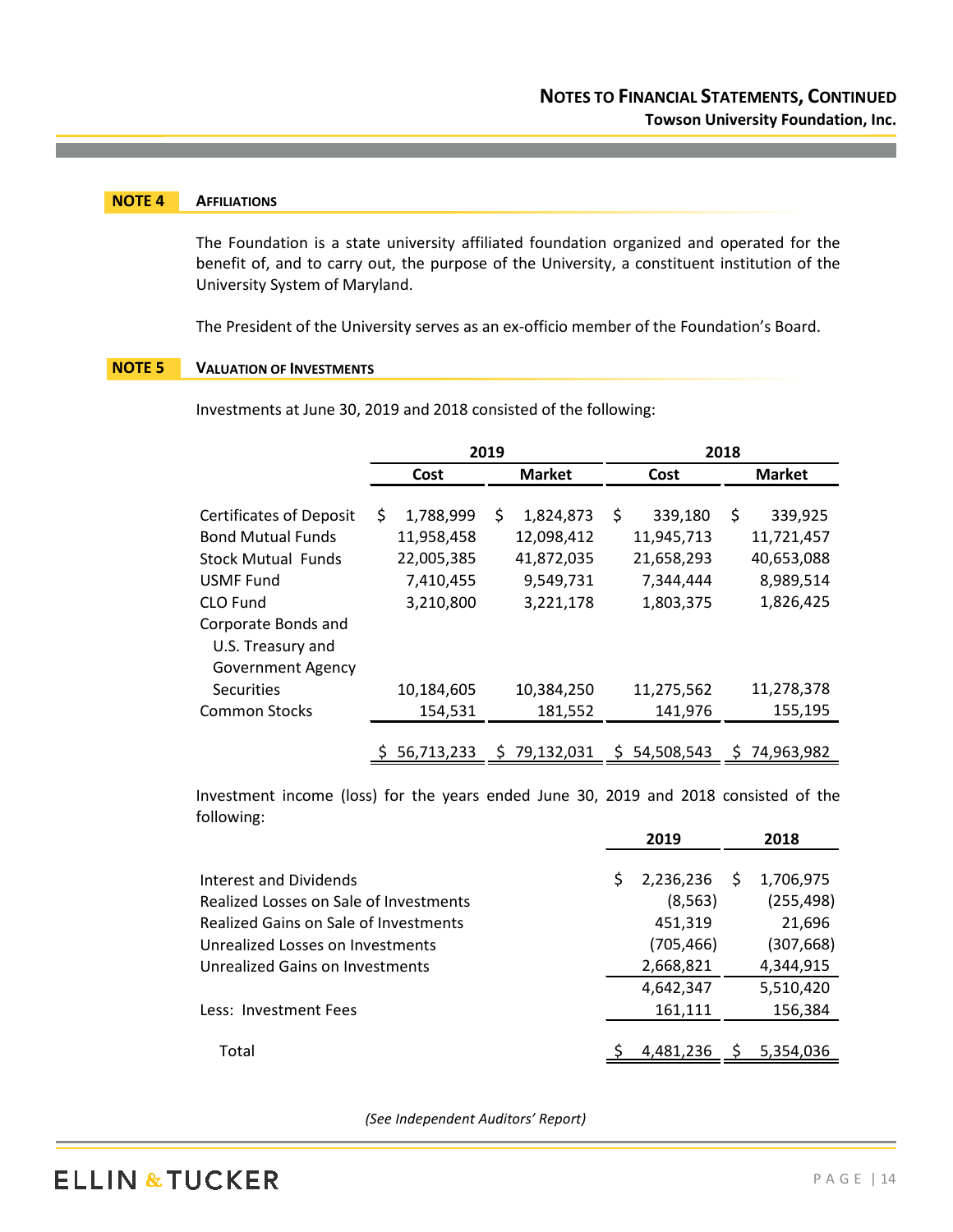#### **NOTE 4 AFFILIATIONS**

The Foundation is a state university affiliated foundation organized and operated for the benefit of, and to carry out, the purpose of the University, a constituent institution of the University System of Maryland.

The President of the University serves as an ex-officio member of the Foundation's Board.

#### **NOTE 5 VALUATION OF INVESTMENTS**

Investments at June 30, 2019 and 2018 consisted of the following:

|                                                                                                              |                                                         | 2019                                                     |                                                         | 2018                                                   |
|--------------------------------------------------------------------------------------------------------------|---------------------------------------------------------|----------------------------------------------------------|---------------------------------------------------------|--------------------------------------------------------|
|                                                                                                              | Cost                                                    | <b>Market</b>                                            | Cost                                                    | <b>Market</b>                                          |
| <b>Certificates of Deposit</b><br><b>Bond Mutual Funds</b><br><b>Stock Mutual Funds</b><br><b>USMF Fund</b>  | 1,788,999<br>S<br>11,958,458<br>22,005,385<br>7,410,455 | \$<br>1,824,873<br>12,098,412<br>41,872,035<br>9,549,731 | \$.<br>339,180<br>11,945,713<br>21,658,293<br>7,344,444 | \$<br>339,925<br>11,721,457<br>40,653,088<br>8,989,514 |
| <b>CLO Fund</b><br>Corporate Bonds and<br>U.S. Treasury and<br><b>Government Agency</b><br><b>Securities</b> | 3,210,800<br>10,184,605                                 | 3,221,178<br>10,384,250                                  | 1,803,375<br>11,275,562                                 | 1,826,425<br>11,278,378                                |
| <b>Common Stocks</b>                                                                                         | 154,531<br>56,713,233<br>S                              | 181,552<br>79,132,031<br>Ś.                              | 141,976<br>54,508,543<br>S.                             | 155,195<br>Ś.<br>74,963,982                            |

Investment income (loss) for the years ended June 30, 2019 and 2018 consisted of the following:

|                                                                  |    | 2019                  |   | 2018                    |
|------------------------------------------------------------------|----|-----------------------|---|-------------------------|
| Interest and Dividends<br>Realized Losses on Sale of Investments | S. | 2,236,236<br>(8, 563) | S | 1,706,975<br>(255, 498) |
| <b>Realized Gains on Sale of Investments</b>                     |    | 451,319               |   | 21,696                  |
| Unrealized Losses on Investments                                 |    | (705, 466)            |   | (307,668)               |
| Unrealized Gains on Investments                                  |    | 2,668,821             |   | 4,344,915               |
|                                                                  |    | 4,642,347             |   | 5,510,420               |
| Less: Investment Fees                                            |    | 161,111               |   | 156,384                 |
| Total                                                            |    | 4,481,236             |   | 5,354,036               |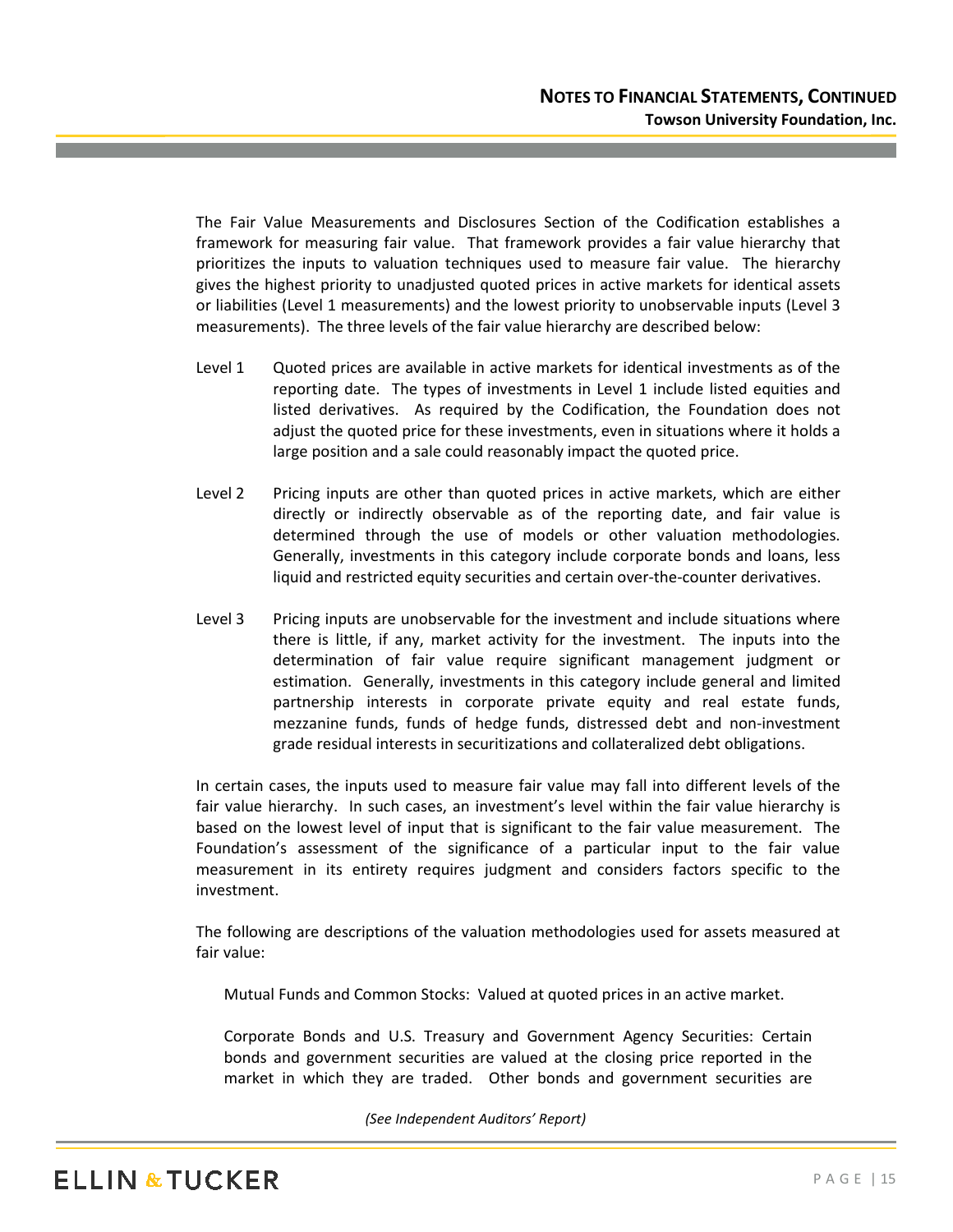The Fair Value Measurements and Disclosures Section of the Codification establishes a framework for measuring fair value. That framework provides a fair value hierarchy that prioritizes the inputs to valuation techniques used to measure fair value. The hierarchy gives the highest priority to unadjusted quoted prices in active markets for identical assets or liabilities (Level 1 measurements) and the lowest priority to unobservable inputs (Level 3 measurements). The three levels of the fair value hierarchy are described below:

- Level 1 Quoted prices are available in active markets for identical investments as of the reporting date. The types of investments in Level 1 include listed equities and listed derivatives. As required by the Codification, the Foundation does not adjust the quoted price for these investments, even in situations where it holds a large position and a sale could reasonably impact the quoted price.
- Level 2 Pricing inputs are other than quoted prices in active markets, which are either directly or indirectly observable as of the reporting date, and fair value is determined through the use of models or other valuation methodologies. Generally, investments in this category include corporate bonds and loans, less liquid and restricted equity securities and certain over-the-counter derivatives.
- Level 3 Pricing inputs are unobservable for the investment and include situations where there is little, if any, market activity for the investment. The inputs into the determination of fair value require significant management judgment or estimation. Generally, investments in this category include general and limited partnership interests in corporate private equity and real estate funds, mezzanine funds, funds of hedge funds, distressed debt and non-investment grade residual interests in securitizations and collateralized debt obligations.

In certain cases, the inputs used to measure fair value may fall into different levels of the fair value hierarchy. In such cases, an investment's level within the fair value hierarchy is based on the lowest level of input that is significant to the fair value measurement. The Foundation's assessment of the significance of a particular input to the fair value measurement in its entirety requires judgment and considers factors specific to the investment.

The following are descriptions of the valuation methodologies used for assets measured at fair value:

Mutual Funds and Common Stocks: Valued at quoted prices in an active market.

Corporate Bonds and U.S. Treasury and Government Agency Securities: Certain bonds and government securities are valued at the closing price reported in the market in which they are traded. Other bonds and government securities are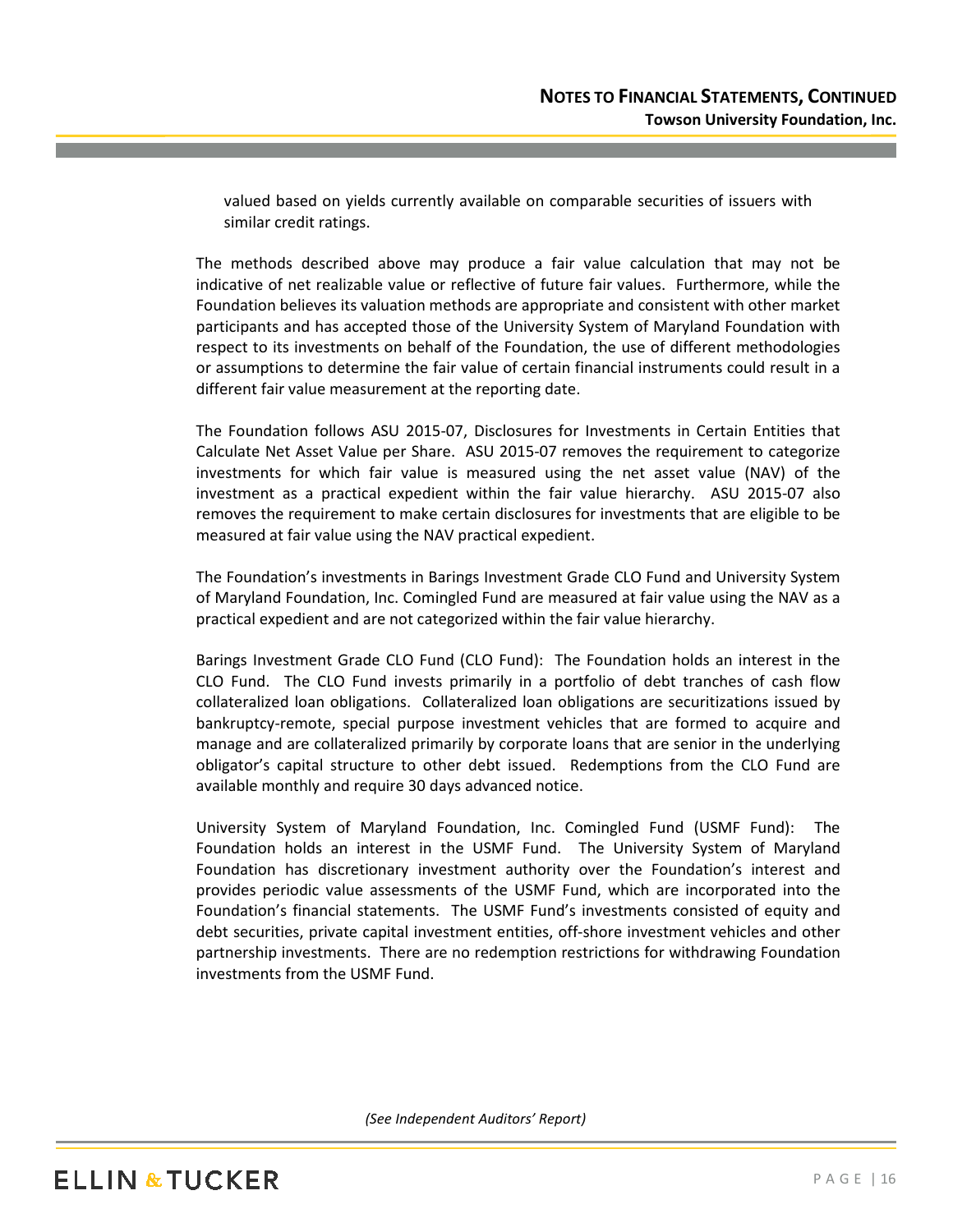valued based on yields currently available on comparable securities of issuers with similar credit ratings.

The methods described above may produce a fair value calculation that may not be indicative of net realizable value or reflective of future fair values. Furthermore, while the Foundation believes its valuation methods are appropriate and consistent with other market participants and has accepted those of the University System of Maryland Foundation with respect to its investments on behalf of the Foundation, the use of different methodologies or assumptions to determine the fair value of certain financial instruments could result in a different fair value measurement at the reporting date.

The Foundation follows ASU 2015-07, Disclosures for Investments in Certain Entities that Calculate Net Asset Value per Share. ASU 2015-07 removes the requirement to categorize investments for which fair value is measured using the net asset value (NAV) of the investment as a practical expedient within the fair value hierarchy. ASU 2015-07 also removes the requirement to make certain disclosures for investments that are eligible to be measured at fair value using the NAV practical expedient.

The Foundation's investments in Barings Investment Grade CLO Fund and University System of Maryland Foundation, Inc. Comingled Fund are measured at fair value using the NAV as a practical expedient and are not categorized within the fair value hierarchy.

Barings Investment Grade CLO Fund (CLO Fund): The Foundation holds an interest in the CLO Fund. The CLO Fund invests primarily in a portfolio of debt tranches of cash flow collateralized loan obligations. Collateralized loan obligations are securitizations issued by bankruptcy-remote, special purpose investment vehicles that are formed to acquire and manage and are collateralized primarily by corporate loans that are senior in the underlying obligator's capital structure to other debt issued. Redemptions from the CLO Fund are available monthly and require 30 days advanced notice.

University System of Maryland Foundation, Inc. Comingled Fund (USMF Fund): The Foundation holds an interest in the USMF Fund. The University System of Maryland Foundation has discretionary investment authority over the Foundation's interest and provides periodic value assessments of the USMF Fund, which are incorporated into the Foundation's financial statements. The USMF Fund's investments consisted of equity and debt securities, private capital investment entities, off-shore investment vehicles and other partnership investments. There are no redemption restrictions for withdrawing Foundation investments from the USMF Fund.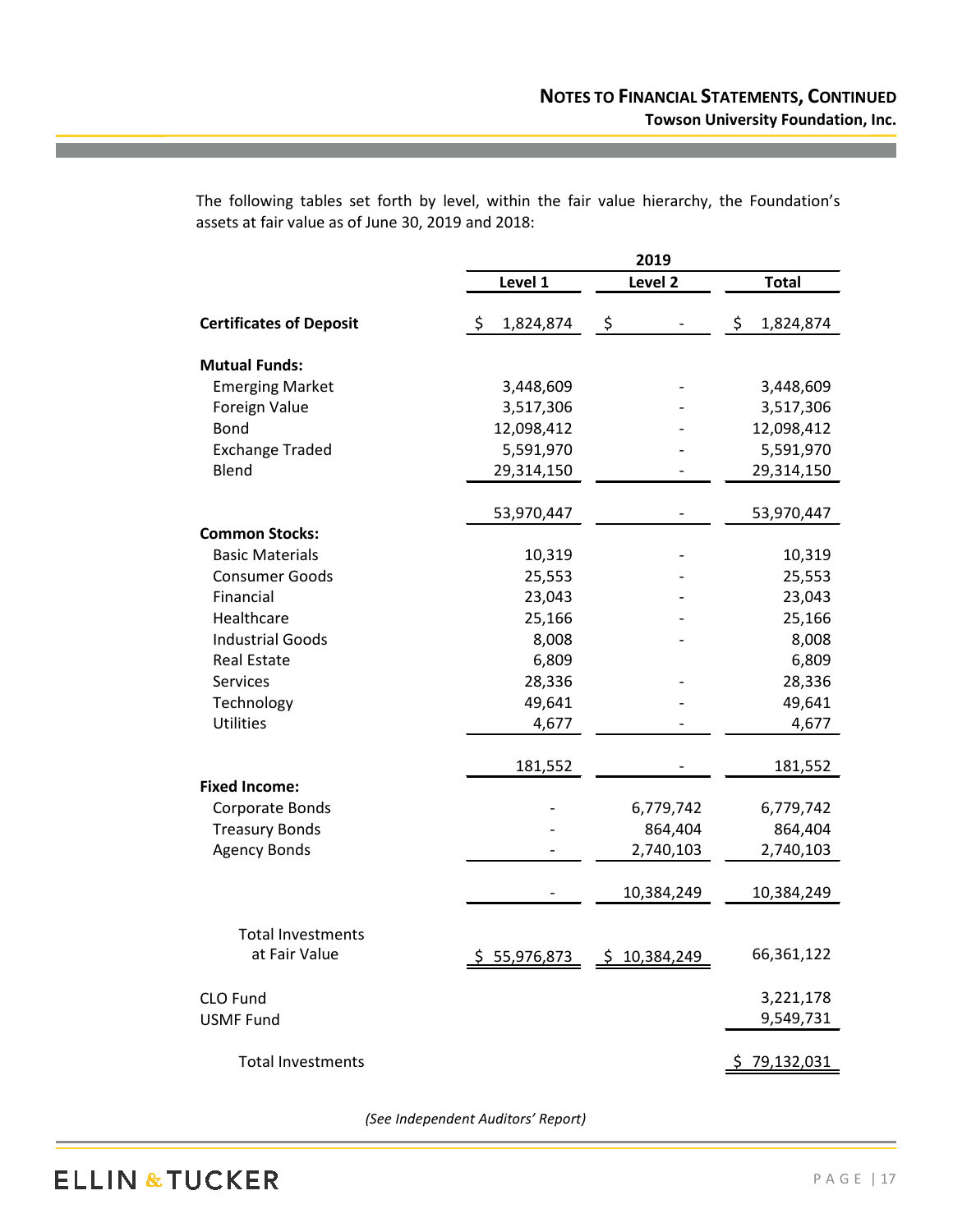**Level 1 Level 2 Total Certificates of Deposit**  $\begin{array}{cccc} \xi & 1,824,874 & \xi & - & \xi & 1,824,874 \end{array}$ **Mutual Funds:** Emerging Market 3,448,609 - 3,448,609 Foreign Value 3,517,306 - 3,517,306 Bond 12,098,412 - 12,098,412 Exchange Traded 5,591,970 - 5,591,970 Blend 29,314,150 - 29,314,150 53,970,447 - 53,970,447 **Common Stocks:** Basic Materials **10,319** - 10,319 Consumer Goods 25,553 - 25,553 Financial 23,043 - 23,043 Healthcare 25,166 - 25,166 - 25,166 Industrial Goods 8,008 and 8,008 contract the set of the set of the set of the set of the set of the set of the set of the set of the set of the set of the set of the set of the set of the set of the set of the set of the Real Estate 6,809 6,809 6,809 Services 28,336 - 28,336 Technology 49,641 - 49,641 Utilities 4,677 - 4,677 181,552 - 181,552 **Fixed Income:** Corporate Bonds - 6,779,742 6,779,742 Treasury Bonds **1986** 864,404 **864,404** 864,404 Agency Bonds **2,740,103** 2,740,103 10,384,249 10,384,249 Total Investments at Fair Value  $\frac{1}{5}$  55,976,873 \$ 10,384,249 66,361,122 CLO Fund 3,221,178 USMF Fund 9,549,731 Total Investments **\$ 79,132,031 2019**

The following tables set forth by level, within the fair value hierarchy, the Foundation's assets at fair value as of June 30, 2019 and 2018: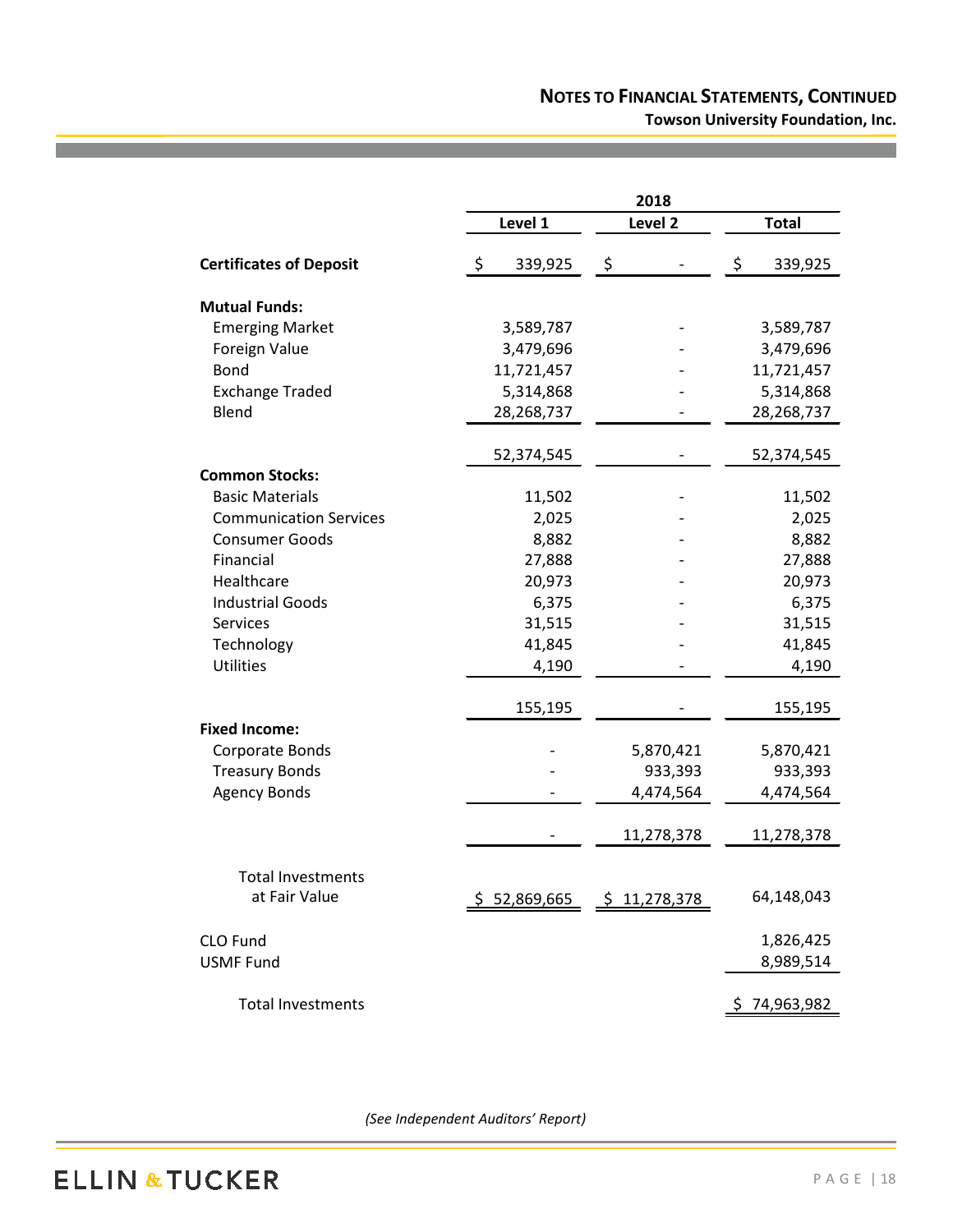# **NOTES TO FINANCIAL STATEMENTS, CONTINUED Towson University Foundation, Inc.**

|                                |                    | Level 1                           |      | Level 2    | <b>Total</b>        |
|--------------------------------|--------------------|-----------------------------------|------|------------|---------------------|
| <b>Certificates of Deposit</b> | $\ddot{\varsigma}$ | 339,925                           | - \$ |            | \$<br>339,925       |
| <b>Mutual Funds:</b>           |                    |                                   |      |            |                     |
| <b>Emerging Market</b>         |                    | 3,589,787                         |      |            | 3,589,787           |
| Foreign Value                  |                    | 3,479,696                         |      |            | 3,479,696           |
| Bond                           |                    | 11,721,457                        |      |            | 11,721,457          |
| <b>Exchange Traded</b>         |                    | 5,314,868                         |      |            | 5,314,868           |
| Blend                          |                    | 28,268,737                        |      |            | 28,268,737          |
|                                |                    | 52,374,545                        |      |            | 52,374,545          |
| <b>Common Stocks:</b>          |                    |                                   |      |            |                     |
| <b>Basic Materials</b>         |                    | 11,502                            |      |            | 11,502              |
| <b>Communication Services</b>  |                    | 2,025                             |      |            | 2,025               |
| <b>Consumer Goods</b>          |                    | 8,882                             |      |            | 8,882               |
| Financial                      |                    | 27,888                            |      |            | 27,888              |
| Healthcare                     |                    | 20,973                            |      |            | 20,973              |
| <b>Industrial Goods</b>        |                    | 6,375                             |      |            | 6,375               |
| Services                       |                    | 31,515                            |      |            | 31,515              |
| Technology                     |                    | 41,845                            |      |            | 41,845              |
| <b>Utilities</b>               |                    | 4,190                             |      |            | 4,190               |
|                                |                    | 155,195                           |      |            | 155,195             |
| <b>Fixed Income:</b>           |                    |                                   |      |            |                     |
| Corporate Bonds                |                    |                                   |      | 5,870,421  | 5,870,421           |
| <b>Treasury Bonds</b>          |                    |                                   |      | 933,393    | 933,393             |
| <b>Agency Bonds</b>            |                    |                                   |      | 4,474,564  | 4,474,564           |
|                                |                    |                                   |      | 11,278,378 | 11,278,378          |
| <b>Total Investments</b>       |                    |                                   |      |            |                     |
| at Fair Value                  |                    | $$ 52,869,665 \over $ 11,278,378$ |      |            | 64,148,043          |
| <b>CLO Fund</b>                |                    |                                   |      |            | 1,826,425           |
| <b>USMF Fund</b>               |                    |                                   |      |            | 8,989,514           |
| <b>Total Investments</b>       |                    |                                   |      |            | <u>\$74,963,982</u> |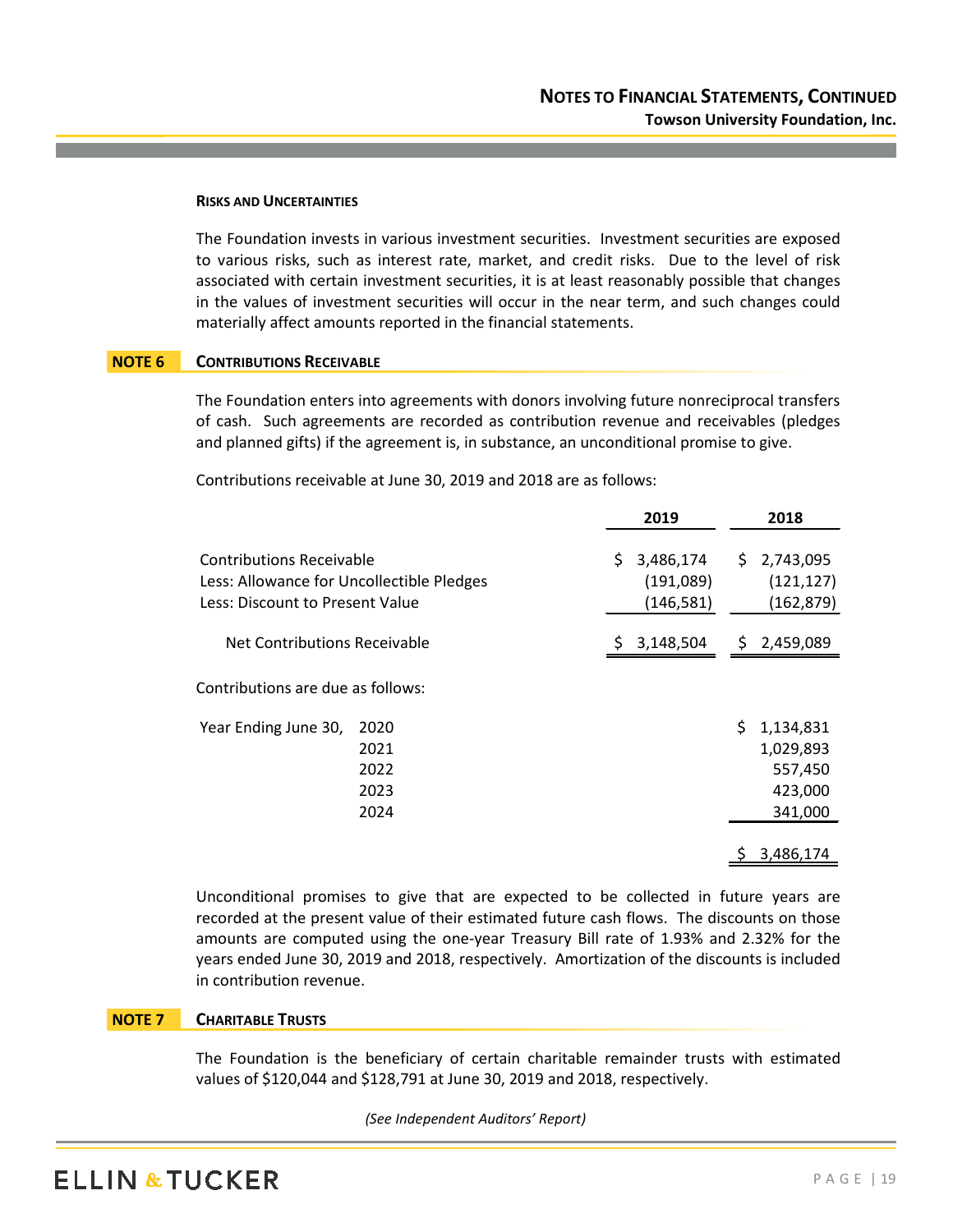#### **RISKS AND UNCERTAINTIES**

The Foundation invests in various investment securities. Investment securities are exposed to various risks, such as interest rate, market, and credit risks. Due to the level of risk associated with certain investment securities, it is at least reasonably possible that changes in the values of investment securities will occur in the near term, and such changes could materially affect amounts reported in the financial statements.

#### **NOTE 6 CONTRIBUTIONS RECEIVABLE**

The Foundation enters into agreements with donors involving future nonreciprocal transfers of cash. Such agreements are recorded as contribution revenue and receivables (pledges and planned gifts) if the agreement is, in substance, an unconditional promise to give.

Contributions receivable at June 30, 2019 and 2018 are as follows:

|                                                                                                                 |                                      | 2019                                       | 2018                                                           |
|-----------------------------------------------------------------------------------------------------------------|--------------------------------------|--------------------------------------------|----------------------------------------------------------------|
| <b>Contributions Receivable</b><br>Less: Allowance for Uncollectible Pledges<br>Less: Discount to Present Value |                                      | 3,486,174<br>S.<br>(191,089)<br>(146, 581) | \$.<br>2,743,095<br>(121, 127)<br>(162, 879)                   |
| Net Contributions Receivable                                                                                    |                                      | 3,148,504                                  | \$2,459,089                                                    |
| Contributions are due as follows:                                                                               |                                      |                                            |                                                                |
| Year Ending June 30,                                                                                            | 2020<br>2021<br>2022<br>2023<br>2024 |                                            | \$.<br>1,134,831<br>1,029,893<br>557,450<br>423,000<br>341,000 |
|                                                                                                                 |                                      |                                            | 3,486,174                                                      |

Unconditional promises to give that are expected to be collected in future years are recorded at the present value of their estimated future cash flows. The discounts on those amounts are computed using the one-year Treasury Bill rate of 1.93% and 2.32% for the years ended June 30, 2019 and 2018, respectively. Amortization of the discounts is included in contribution revenue.

## **NOTE 7 CHARITABLE TRUSTS**

The Foundation is the beneficiary of certain charitable remainder trusts with estimated values of \$120,044 and \$128,791 at June 30, 2019 and 2018, respectively.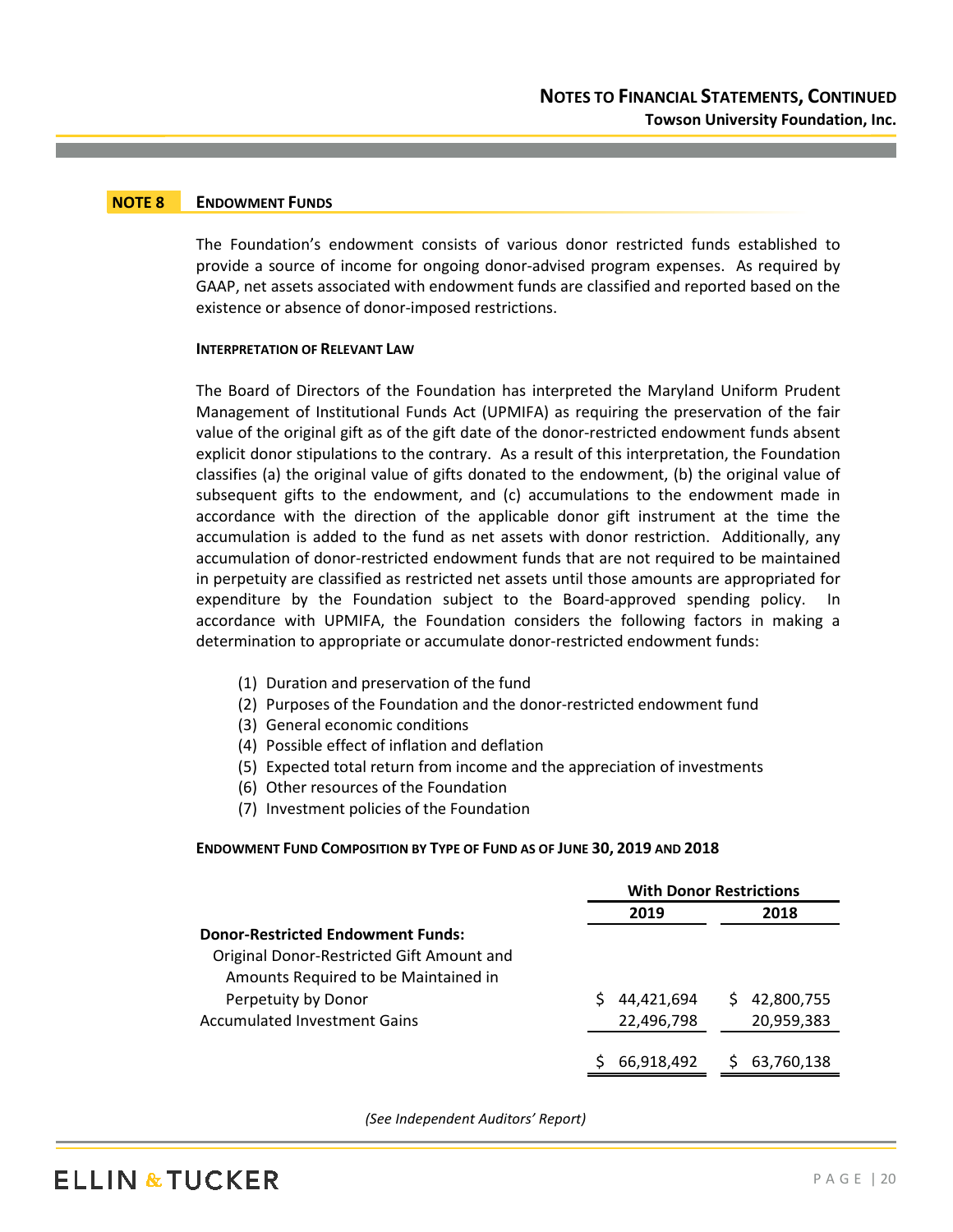## **NOTE 8 ENDOWMENT FUNDS**

The Foundation's endowment consists of various donor restricted funds established to provide a source of income for ongoing donor-advised program expenses. As required by GAAP, net assets associated with endowment funds are classified and reported based on the existence or absence of donor-imposed restrictions.

#### **INTERPRETATION OF RELEVANT LAW**

The Board of Directors of the Foundation has interpreted the Maryland Uniform Prudent Management of Institutional Funds Act (UPMIFA) as requiring the preservation of the fair value of the original gift as of the gift date of the donor-restricted endowment funds absent explicit donor stipulations to the contrary. As a result of this interpretation, the Foundation classifies (a) the original value of gifts donated to the endowment, (b) the original value of subsequent gifts to the endowment, and (c) accumulations to the endowment made in accordance with the direction of the applicable donor gift instrument at the time the accumulation is added to the fund as net assets with donor restriction. Additionally, any accumulation of donor-restricted endowment funds that are not required to be maintained in perpetuity are classified as restricted net assets until those amounts are appropriated for expenditure by the Foundation subject to the Board-approved spending policy. In accordance with UPMIFA, the Foundation considers the following factors in making a determination to appropriate or accumulate donor-restricted endowment funds:

- (1) Duration and preservation of the fund
- (2) Purposes of the Foundation and the donor-restricted endowment fund
- (3) General economic conditions
- (4) Possible effect of inflation and deflation
- (5) Expected total return from income and the appreciation of investments
- (6) Other resources of the Foundation
- (7) Investment policies of the Foundation

#### **ENDOWMENT FUND COMPOSITION BY TYPE OF FUND AS OF JUNE 30, 2019 AND 2018**

|                                           | <b>With Donor Restrictions</b> |            |    |            |
|-------------------------------------------|--------------------------------|------------|----|------------|
|                                           |                                | 2019       |    | 2018       |
| <b>Donor-Restricted Endowment Funds:</b>  |                                |            |    |            |
| Original Donor-Restricted Gift Amount and |                                |            |    |            |
| Amounts Required to be Maintained in      |                                |            |    |            |
| Perpetuity by Donor                       |                                | 44,421,694 | S. | 42,800,755 |
| <b>Accumulated Investment Gains</b>       |                                | 22,496,798 |    | 20,959,383 |
|                                           |                                | 66,918,492 |    | 63,760,138 |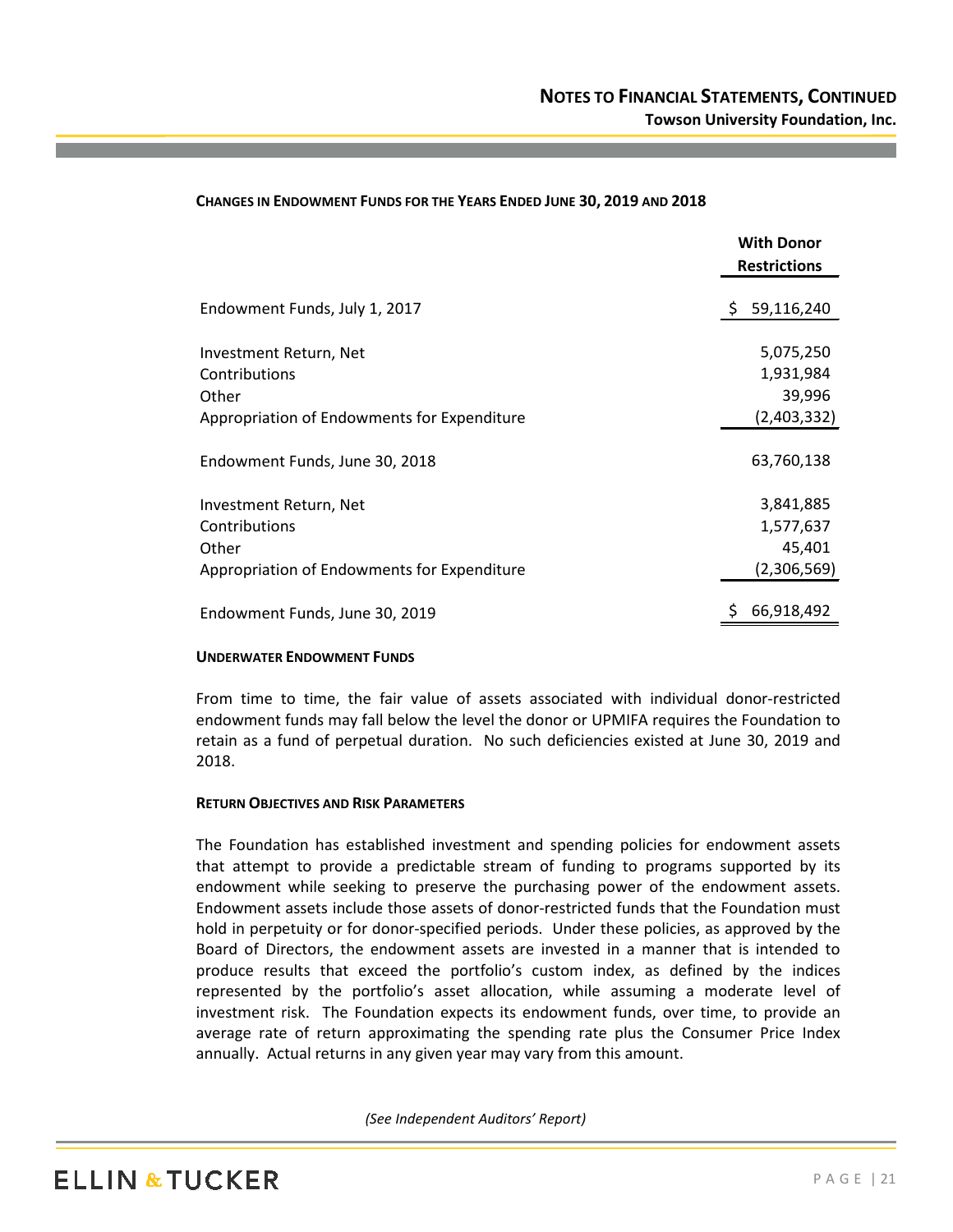|                                             | <b>With Donor</b><br><b>Restrictions</b> |
|---------------------------------------------|------------------------------------------|
| Endowment Funds, July 1, 2017               | 59,116,240<br>\$                         |
| Investment Return, Net                      | 5,075,250                                |
| Contributions                               | 1,931,984                                |
| Other                                       | 39,996                                   |
| Appropriation of Endowments for Expenditure | (2,403,332)                              |
| Endowment Funds, June 30, 2018              | 63,760,138                               |
| Investment Return, Net                      | 3,841,885                                |
| Contributions                               | 1,577,637                                |
| Other                                       | 45,401                                   |
| Appropriation of Endowments for Expenditure | (2,306,569)                              |
| Endowment Funds, June 30, 2019              | 66,918,492                               |

# **CHANGES IN ENDOWMENT FUNDS FOR THE YEARS ENDED JUNE 30, 2019 AND 2018**

## **UNDERWATER ENDOWMENT FUNDS**

From time to time, the fair value of assets associated with individual donor-restricted endowment funds may fall below the level the donor or UPMIFA requires the Foundation to retain as a fund of perpetual duration. No such deficiencies existed at June 30, 2019 and 2018.

## **RETURN OBJECTIVES AND RISK PARAMETERS**

The Foundation has established investment and spending policies for endowment assets that attempt to provide a predictable stream of funding to programs supported by its endowment while seeking to preserve the purchasing power of the endowment assets. Endowment assets include those assets of donor-restricted funds that the Foundation must hold in perpetuity or for donor-specified periods. Under these policies, as approved by the Board of Directors, the endowment assets are invested in a manner that is intended to produce results that exceed the portfolio's custom index, as defined by the indices represented by the portfolio's asset allocation, while assuming a moderate level of investment risk. The Foundation expects its endowment funds, over time, to provide an average rate of return approximating the spending rate plus the Consumer Price Index annually. Actual returns in any given year may vary from this amount.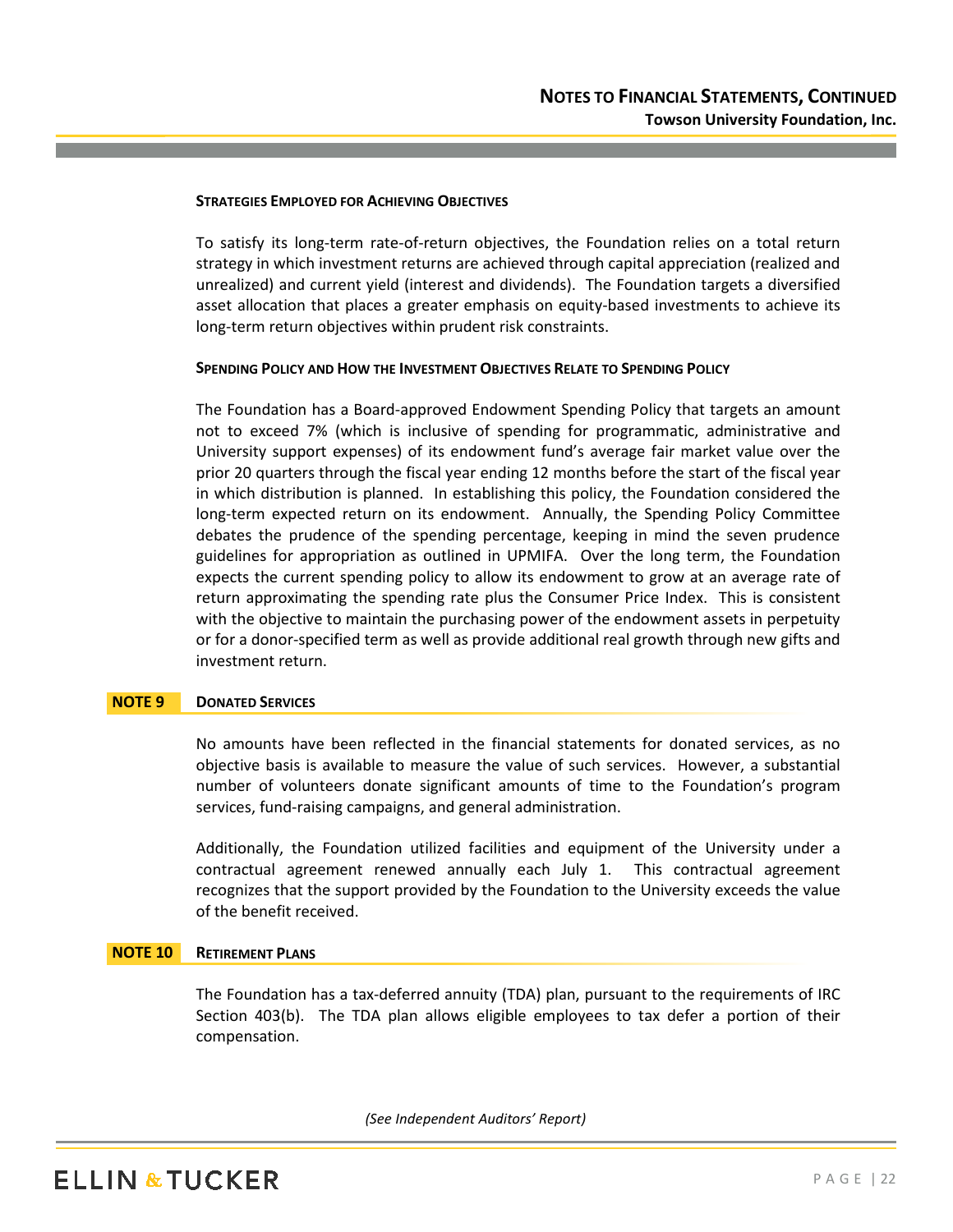#### **STRATEGIES EMPLOYED FOR ACHIEVING OBJECTIVES**

To satisfy its long-term rate-of-return objectives, the Foundation relies on a total return strategy in which investment returns are achieved through capital appreciation (realized and unrealized) and current yield (interest and dividends). The Foundation targets a diversified asset allocation that places a greater emphasis on equity-based investments to achieve its long-term return objectives within prudent risk constraints.

#### **SPENDING POLICY AND HOW THE INVESTMENT OBJECTIVES RELATE TO SPENDING POLICY**

The Foundation has a Board-approved Endowment Spending Policy that targets an amount not to exceed 7% (which is inclusive of spending for programmatic, administrative and University support expenses) of its endowment fund's average fair market value over the prior 20 quarters through the fiscal year ending 12 months before the start of the fiscal year in which distribution is planned. In establishing this policy, the Foundation considered the long-term expected return on its endowment. Annually, the Spending Policy Committee debates the prudence of the spending percentage, keeping in mind the seven prudence guidelines for appropriation as outlined in UPMIFA. Over the long term, the Foundation expects the current spending policy to allow its endowment to grow at an average rate of return approximating the spending rate plus the Consumer Price Index. This is consistent with the objective to maintain the purchasing power of the endowment assets in perpetuity or for a donor-specified term as well as provide additional real growth through new gifts and investment return.

## **NOTE 9 DONATED SERVICES**

No amounts have been reflected in the financial statements for donated services, as no objective basis is available to measure the value of such services. However, a substantial number of volunteers donate significant amounts of time to the Foundation's program services, fund-raising campaigns, and general administration.

Additionally, the Foundation utilized facilities and equipment of the University under a contractual agreement renewed annually each July 1. This contractual agreement recognizes that the support provided by the Foundation to the University exceeds the value of the benefit received.

## **NOTE 10 RETIREMENT PLANS**

The Foundation has a tax-deferred annuity (TDA) plan, pursuant to the requirements of IRC Section 403(b). The TDA plan allows eligible employees to tax defer a portion of their compensation.